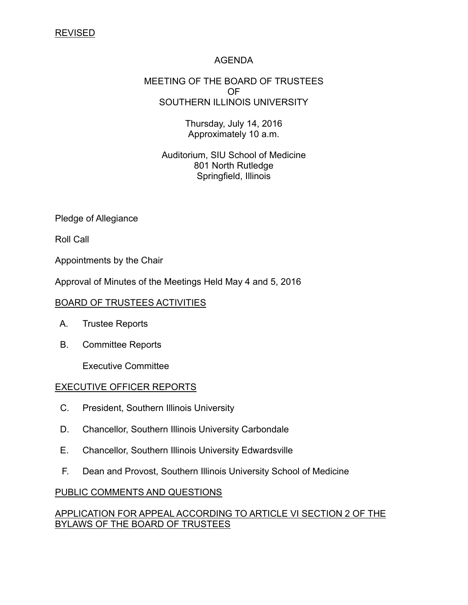# AGENDA

#### MEETING OF THE BOARD OF TRUSTEES OF SOUTHERN ILLINOIS UNIVERSITY

Thursday, July 14, 2016 Approximately 10 a.m.

Auditorium, SIU School of Medicine 801 North Rutledge Springfield, Illinois

Pledge of Allegiance

Roll Call

Appointments by the Chair

Approval of Minutes of the Meetings Held May 4 and 5, 2016

## BOARD OF TRUSTEES ACTIVITIES

- A. Trustee Reports
- B. Committee Reports

Executive Committee

## EXECUTIVE OFFICER REPORTS

- C. President, Southern Illinois University
- D. Chancellor, Southern Illinois University Carbondale
- E. Chancellor, Southern Illinois University Edwardsville
- F. Dean and Provost, Southern Illinois University School of Medicine

## PUBLIC COMMENTS AND QUESTIONS

# APPLICATION FOR APPEAL ACCORDING TO ARTICLE VI SECTION 2 OF THE BYLAWS OF THE BOARD OF TRUSTEES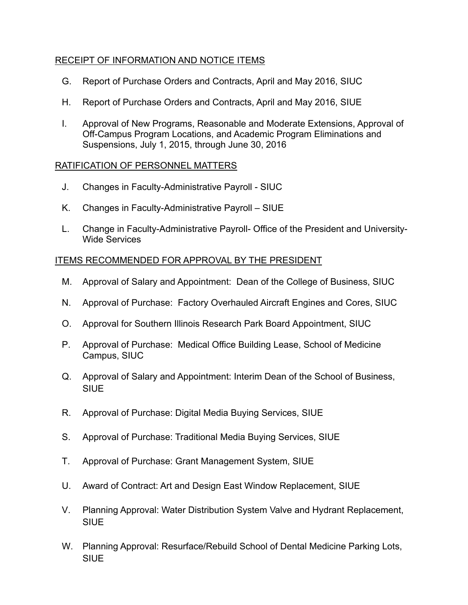# RECEIPT OF INFORMATION AND NOTICE ITEMS

- G. Report of Purchase Orders and Contracts, April and May 2016, SIUC
- H. Report of Purchase Orders and Contracts, April and May 2016, SIUE
- I. Approval of New Programs, Reasonable and Moderate Extensions, Approval of Off-Campus Program Locations, and Academic Program Eliminations and Suspensions, July 1, 2015, through June 30, 2016

## RATIFICATION OF PERSONNEL MATTERS

- J. Changes in Faculty-Administrative Payroll SIUC
- K. Changes in Faculty-Administrative Payroll SIUE
- L. Change in Faculty-Administrative Payroll- Office of the President and University-Wide Services

# ITEMS RECOMMENDED FOR APPROVAL BY THE PRESIDENT

- M. Approval of Salary and Appointment: Dean of the College of Business, SIUC
- N. Approval of Purchase: Factory Overhauled Aircraft Engines and Cores, SIUC
- O. Approval for Southern Illinois Research Park Board Appointment, SIUC
- P. Approval of Purchase: Medical Office Building Lease, School of Medicine Campus, SIUC
- Q. Approval of Salary and Appointment: Interim Dean of the School of Business, **SIUE**
- R. Approval of Purchase: Digital Media Buying Services, SIUE
- S. Approval of Purchase: Traditional Media Buying Services, SIUE
- T. Approval of Purchase: Grant Management System, SIUE
- U. Award of Contract: Art and Design East Window Replacement, SIUE
- V. Planning Approval: Water Distribution System Valve and Hydrant Replacement, **SIUE**
- W. Planning Approval: Resurface/Rebuild School of Dental Medicine Parking Lots, **SIUE**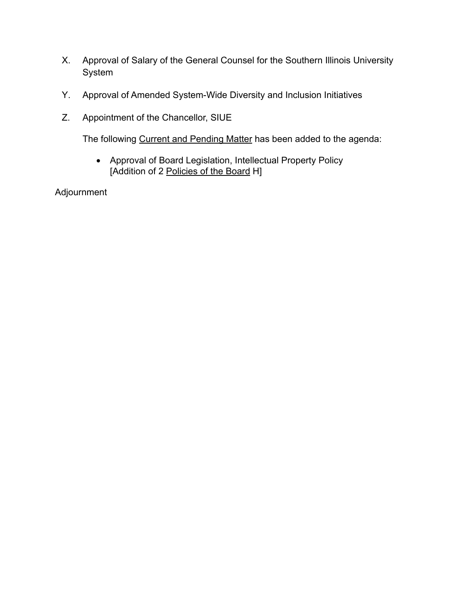- X. Approval of Salary of the General Counsel for the Southern Illinois University System
- Y. Approval of Amended System-Wide Diversity and Inclusion Initiatives
- Z. Appointment of the Chancellor, SIUE

The following Current and Pending Matter has been added to the agenda:

 Approval of Board Legislation, Intellectual Property Policy [Addition of 2 Policies of the Board H]

Adjournment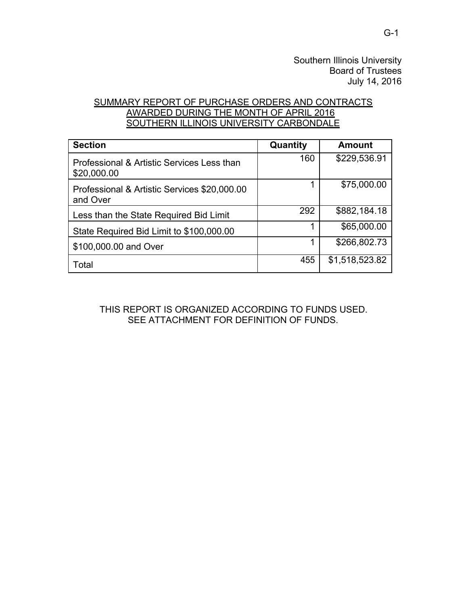# SUMMARY REPORT OF PURCHASE ORDERS AND CONTRACTS AWARDED DURING THE MONTH OF APRIL 2016 SOUTHERN ILLINOIS UNIVERSITY CARBONDALE

| <b>Section</b>                                            | Quantity | <b>Amount</b>  |
|-----------------------------------------------------------|----------|----------------|
| Professional & Artistic Services Less than<br>\$20,000.00 | 160      | \$229,536.91   |
| Professional & Artistic Services \$20,000.00<br>and Over  |          | \$75,000.00    |
| Less than the State Required Bid Limit                    | 292      | \$882,184.18   |
| State Required Bid Limit to \$100,000.00                  |          | \$65,000.00    |
| \$100,000.00 and Over                                     |          | \$266,802.73   |
| Total                                                     | 455      | \$1,518,523.82 |

THIS REPORT IS ORGANIZED ACCORDING TO FUNDS USED. SEE ATTACHMENT FOR DEFINITION OF FUNDS.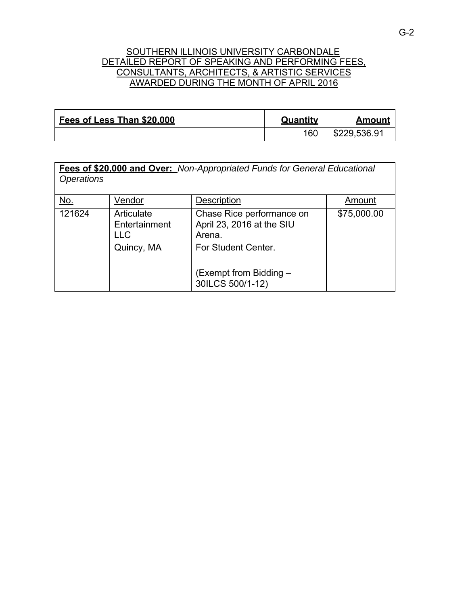## SOUTHERN ILLINOIS UNIVERSITY CARBONDALE DETAILED REPORT OF SPEAKING AND PERFORMING FEES, CONSULTANTS, ARCHITECTS, & ARTISTIC SERVICES AWARDED DURING THE MONTH OF APRIL 2016

| Fees of Less Than \$20,000 | Quantity | <b>Amoun</b> |
|----------------------------|----------|--------------|
|                            | 160      | \$229,536.91 |

| <b>Operations</b> |                                                   | Fees of \$20.000 and Over: Non-Appropriated Funds for General Educational                                                             |             |
|-------------------|---------------------------------------------------|---------------------------------------------------------------------------------------------------------------------------------------|-------------|
| <u>No.</u>        | Vendor                                            | <b>Description</b>                                                                                                                    | Amount      |
| 121624            | Articulate<br>Entertainment<br>II C<br>Quincy, MA | Chase Rice performance on<br>April 23, 2016 at the SIU<br>Arena.<br>For Student Center.<br>(Exempt from Bidding -<br>30ILCS 500/1-12) | \$75,000.00 |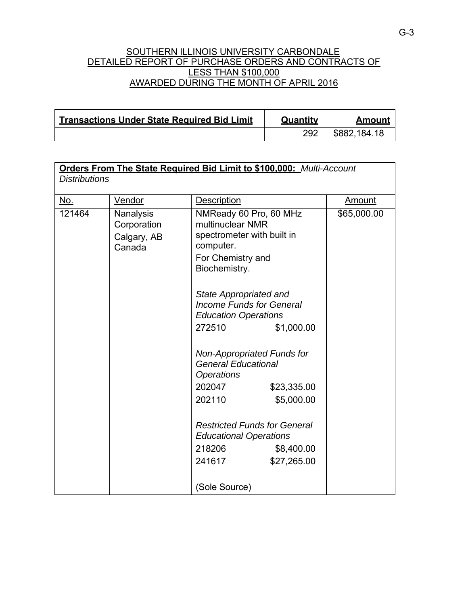### SOUTHERN ILLINOIS UNIVERSITY CARBONDALE DETAILED REPORT OF PURCHASE ORDERS AND CONTRACTS OF LESS THAN \$100,000 AWARDED DURING THE MONTH OF APRIL 2016

| <b>Transactions Under State Required Bid Limit</b> | Quantity | Amount       |
|----------------------------------------------------|----------|--------------|
|                                                    | 292      | \$882,184.18 |

| <b>Distributions</b> |                                                   |                                                                                                   | Orders From The State Required Bid Limit to \$100.000: Multi-Account |               |
|----------------------|---------------------------------------------------|---------------------------------------------------------------------------------------------------|----------------------------------------------------------------------|---------------|
| <u>No.</u>           | Vendor                                            | <b>Description</b>                                                                                |                                                                      | <b>Amount</b> |
| 121464               | Nanalysis<br>Corporation<br>Calgary, AB<br>Canada | multinuclear NMR<br>spectrometer with built in<br>computer.<br>For Chemistry and<br>Biochemistry. | NMReady 60 Pro, 60 MHz                                               | \$65,000.00   |
|                      |                                                   | State Appropriated and<br><b>Education Operations</b>                                             | <b>Income Funds for General</b>                                      |               |
|                      |                                                   | 272510                                                                                            | \$1,000.00                                                           |               |
|                      |                                                   | <b>General Educational</b><br><b>Operations</b><br>202047<br>202110                               | Non-Appropriated Funds for<br>\$23,335.00<br>\$5,000.00              |               |
|                      |                                                   | <b>Educational Operations</b><br>218206<br>241617                                                 | <b>Restricted Funds for General</b><br>\$8,400.00<br>\$27,265.00     |               |
|                      |                                                   | (Sole Source)                                                                                     |                                                                      |               |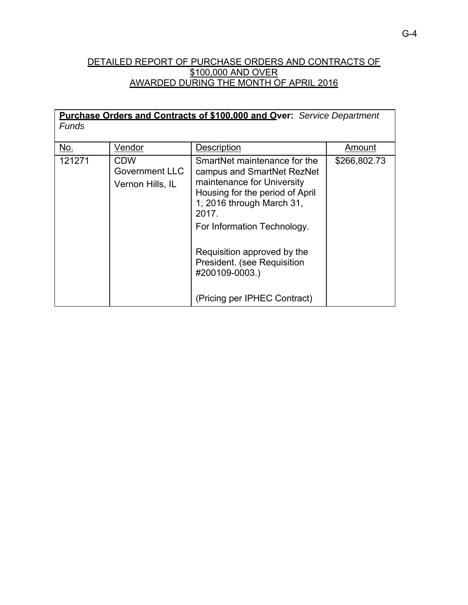# DETAILED REPORT OF PURCHASE ORDERS AND CONTRACTS OF \$100,000 AND OVER AWARDED DURING THE MONTH OF APRIL 2016

| <b>Purchase Orders and Contracts of \$100,000 and Over:</b> Service Department<br><b>Funds</b> |                                                  |                                                                                                                                                                                                                                                                                                                  |              |
|------------------------------------------------------------------------------------------------|--------------------------------------------------|------------------------------------------------------------------------------------------------------------------------------------------------------------------------------------------------------------------------------------------------------------------------------------------------------------------|--------------|
| No.                                                                                            | Vendor                                           | <b>Description</b>                                                                                                                                                                                                                                                                                               | Amount       |
| 121271                                                                                         | CDW<br><b>Government LLC</b><br>Vernon Hills, IL | SmartNet maintenance for the<br>campus and SmartNet RezNet<br>maintenance for University<br>Housing for the period of April<br>1, 2016 through March 31,<br>2017.<br>For Information Technology.<br>Requisition approved by the<br>President. (see Requisition<br>#200109-0003.)<br>(Pricing per IPHEC Contract) | \$266,802.73 |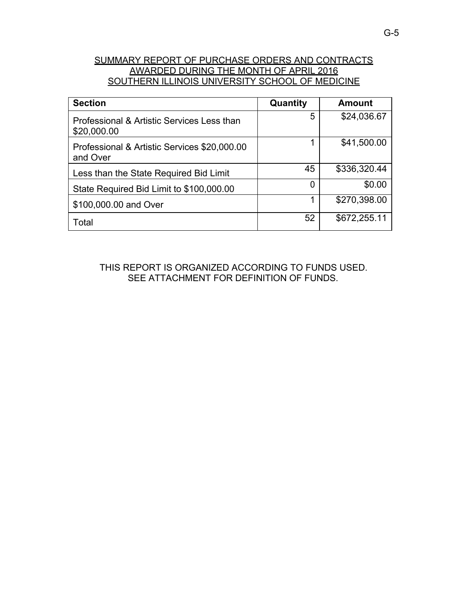# SUMMARY REPORT OF PURCHASE ORDERS AND CONTRACTS AWARDED DURING THE MONTH OF APRIL 2016 SOUTHERN ILLINOIS UNIVERSITY SCHOOL OF MEDICINE

| <b>Section</b>                                            | Quantity | <b>Amount</b> |
|-----------------------------------------------------------|----------|---------------|
| Professional & Artistic Services Less than<br>\$20,000.00 | 5        | \$24,036.67   |
| Professional & Artistic Services \$20,000.00<br>and Over  | 1        | \$41,500.00   |
| Less than the State Required Bid Limit                    | 45       | \$336,320.44  |
| State Required Bid Limit to \$100,000.00                  | 0        | \$0.00        |
| \$100,000.00 and Over                                     | 1        | \$270,398.00  |
| Total                                                     | 52       | \$672,255.11  |

THIS REPORT IS ORGANIZED ACCORDING TO FUNDS USED. SEE ATTACHMENT FOR DEFINITION OF FUNDS.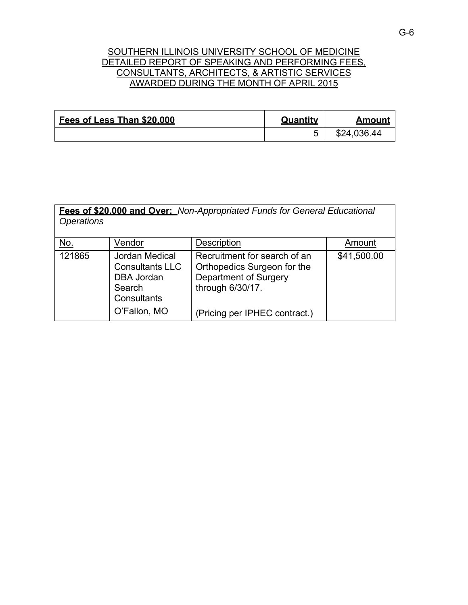## SOUTHERN ILLINOIS UNIVERSITY SCHOOL OF MEDICINE DETAILED REPORT OF SPEAKING AND PERFORMING FEES. CONSULTANTS, ARCHITECTS, & ARTISTIC SERVICES AWARDED DURING THE MONTH OF APRIL 2015

| Fees of Less Than \$20,000 | Quantity | Amount      |
|----------------------------|----------|-------------|
|                            |          | \$24,036.44 |

| <b>Operations</b> |                                                                                                        | Fees of \$20.000 and Over: Non-Appropriated Funds for General Educational                                                                 |             |
|-------------------|--------------------------------------------------------------------------------------------------------|-------------------------------------------------------------------------------------------------------------------------------------------|-------------|
| No.               | Vendor                                                                                                 | <b>Description</b>                                                                                                                        | Amount      |
| 121865            | Jordan Medical<br><b>Consultants LLC</b><br><b>DBA Jordan</b><br>Search<br>Consultants<br>O'Fallon, MO | Recruitment for search of an<br>Orthopedics Surgeon for the<br>Department of Surgery<br>through 6/30/17.<br>(Pricing per IPHEC contract.) | \$41,500.00 |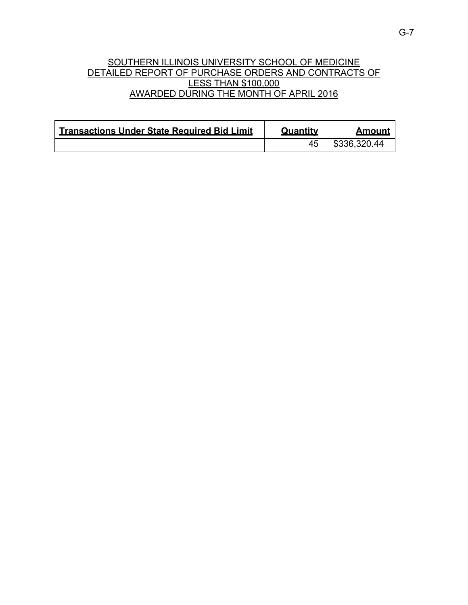# SOUTHERN ILLINOIS UNIVERSITY SCHOOL OF MEDICINE DETAILED REPORT OF PURCHASE ORDERS AND CONTRACTS OF LESS THAN \$100,000 AWARDED DURING THE MONTH OF APRIL 2016

| <b>Transactions Under State Required Bid Limit</b> | Quantity | Amount       |
|----------------------------------------------------|----------|--------------|
|                                                    |          | \$336,320.44 |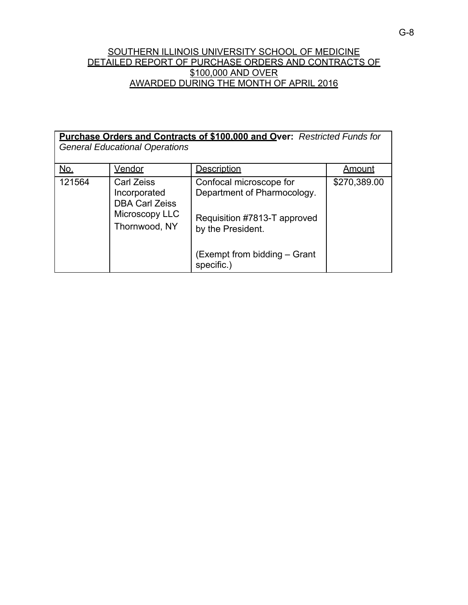## SOUTHERN ILLINOIS UNIVERSITY SCHOOL OF MEDICINE DETAILED REPORT OF PURCHASE ORDERS AND CONTRACTS OF \$100,000 AND OVER AWARDED DURING THE MONTH OF APRIL 2016

| <b>Purchase Orders and Contracts of \$100,000 and Over: Restricted Funds for</b><br><b>General Educational Operations</b> |                                                                                               |                                                                                                             |               |
|---------------------------------------------------------------------------------------------------------------------------|-----------------------------------------------------------------------------------------------|-------------------------------------------------------------------------------------------------------------|---------------|
| <u>No.</u>                                                                                                                | <b>Vendor</b>                                                                                 | <b>Description</b>                                                                                          | <u>Amount</u> |
| 121564                                                                                                                    | <b>Carl Zeiss</b><br>Incorporated<br><b>DBA Carl Zeiss</b><br>Microscopy LLC<br>Thornwood, NY | Confocal microscope for<br>Department of Pharmocology.<br>Requisition #7813-T approved<br>by the President. | \$270,389.00  |
|                                                                                                                           |                                                                                               | (Exempt from bidding – Grant<br>specific.)                                                                  |               |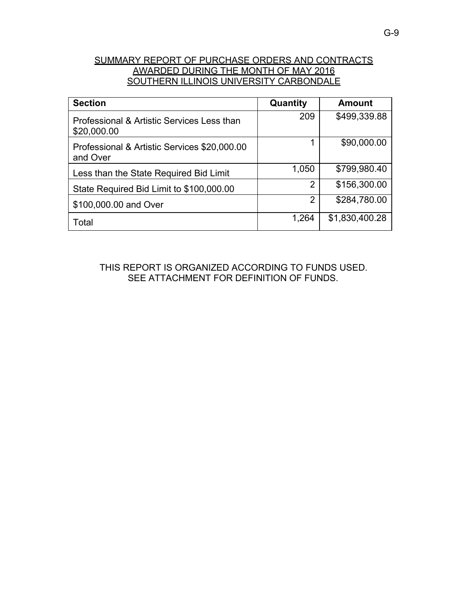# SUMMARY REPORT OF PURCHASE ORDERS AND CONTRACTS AWARDED DURING THE MONTH OF MAY 2016 SOUTHERN ILLINOIS UNIVERSITY CARBONDALE

| <b>Section</b>                                            | Quantity | <b>Amount</b>  |
|-----------------------------------------------------------|----------|----------------|
| Professional & Artistic Services Less than<br>\$20,000.00 | 209      | \$499,339.88   |
| Professional & Artistic Services \$20,000.00<br>and Over  | 1        | \$90,000.00    |
| Less than the State Required Bid Limit                    | 1,050    | \$799,980.40   |
| State Required Bid Limit to \$100,000.00                  | 2        | \$156,300.00   |
| \$100,000.00 and Over                                     | 2        | \$284,780.00   |
| Total                                                     | 1,264    | \$1,830,400.28 |

THIS REPORT IS ORGANIZED ACCORDING TO FUNDS USED. SEE ATTACHMENT FOR DEFINITION OF FUNDS.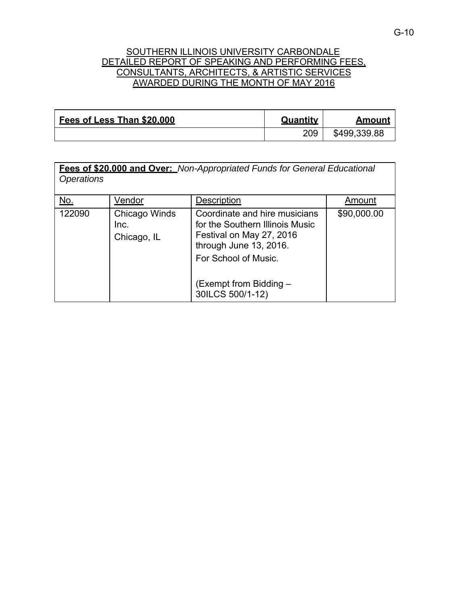### SOUTHERN ILLINOIS UNIVERSITY CARBONDALE DETAILED REPORT OF SPEAKING AND PERFORMING FEES. CONSULTANTS, ARCHITECTS, & ARTISTIC SERVICES AWARDED DURING THE MONTH OF MAY 2016

| Fees of Less Than \$20,000 | Quantity | Amount       |
|----------------------------|----------|--------------|
|                            | 209      | \$499,339.88 |

| <u>No.</u> | Vendor                               | Description                                                                                                                                    | Amount      |
|------------|--------------------------------------|------------------------------------------------------------------------------------------------------------------------------------------------|-------------|
| 122090     | Chicago Winds<br>Inc.<br>Chicago, IL | Coordinate and hire musicians<br>for the Southern Illinois Music<br>Festival on May 27, 2016<br>through June 13, 2016.<br>For School of Music. | \$90,000.00 |
|            |                                      | (Exempt from Bidding –<br>30ILCS 500/1-12)                                                                                                     |             |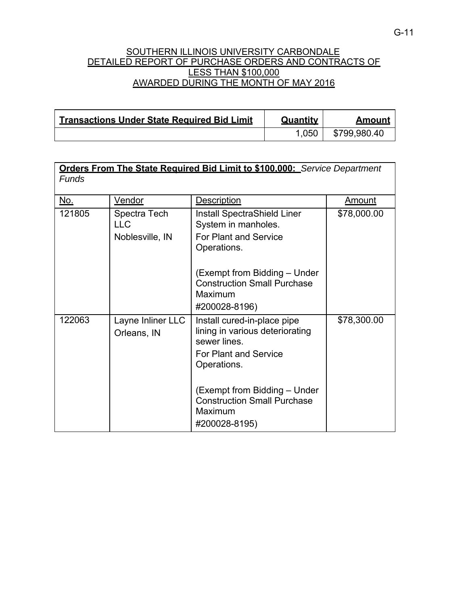### SOUTHERN ILLINOIS UNIVERSITY CARBONDALE DETAILED REPORT OF PURCHASE ORDERS AND CONTRACTS OF LESS THAN \$100,000 AWARDED DURING THE MONTH OF MAY 2016

| <b>Transactions Under State Required Bid Limit</b> | Quantity | Amount       |
|----------------------------------------------------|----------|--------------|
|                                                    | 1.050    | \$799,980.40 |

| <b>Orders From The State Required Bid Limit to \$100.000:</b> Service Department |                                  |                                                                                                         |               |
|----------------------------------------------------------------------------------|----------------------------------|---------------------------------------------------------------------------------------------------------|---------------|
| <b>Funds</b>                                                                     |                                  |                                                                                                         |               |
| <u>No.</u>                                                                       | <u>Vendor</u>                    | Description                                                                                             | <u>Amount</u> |
| 121805                                                                           | Spectra Tech<br><b>LLC</b>       | <b>Install SpectraShield Liner</b><br>System in manholes.                                               | \$78,000.00   |
|                                                                                  | Noblesville, IN                  | <b>For Plant and Service</b><br>Operations.                                                             |               |
|                                                                                  |                                  | (Exempt from Bidding – Under<br><b>Construction Small Purchase</b><br>Maximum                           |               |
|                                                                                  |                                  | #200028-8196)                                                                                           |               |
| 122063                                                                           | Layne Inliner LLC<br>Orleans, IN | Install cured-in-place pipe<br>lining in various deteriorating<br>sewer lines.<br>For Plant and Service | \$78,300.00   |
|                                                                                  |                                  | Operations.                                                                                             |               |
|                                                                                  |                                  | (Exempt from Bidding - Under<br><b>Construction Small Purchase</b><br>Maximum<br>#200028-8195)          |               |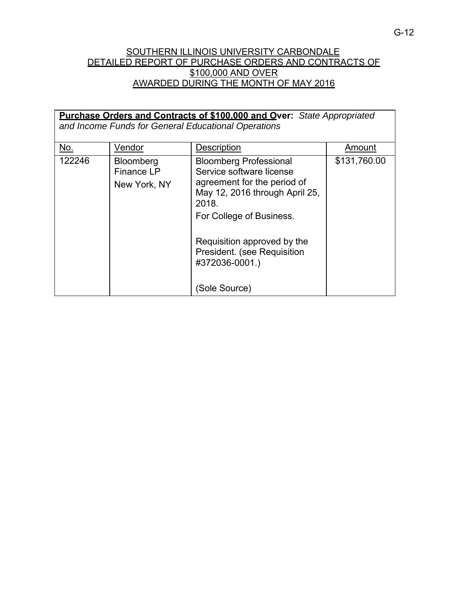## SOUTHERN ILLINOIS UNIVERSITY CARBONDALE DETAILED REPORT OF PURCHASE ORDERS AND CONTRACTS OF \$100,000 AND OVER AWARDED DURING THE MONTH OF MAY 2016

|        |                                                       | Purchase Orders and Contracts of \$100.000 and Over: State Appropriated<br>and Income Funds for General Educational Operations                                  |              |
|--------|-------------------------------------------------------|-----------------------------------------------------------------------------------------------------------------------------------------------------------------|--------------|
| No.    | Vendor                                                | <b>Description</b>                                                                                                                                              | Amount       |
| 122246 | <b>Bloomberg</b><br><b>Finance LP</b><br>New York, NY | <b>Bloomberg Professional</b><br>Service software license<br>agreement for the period of<br>May 12, 2016 through April 25,<br>2018.<br>For College of Business. | \$131,760.00 |
|        |                                                       | Requisition approved by the<br>President. (see Requisition<br>#372036-0001.)<br>(Sole Source)                                                                   |              |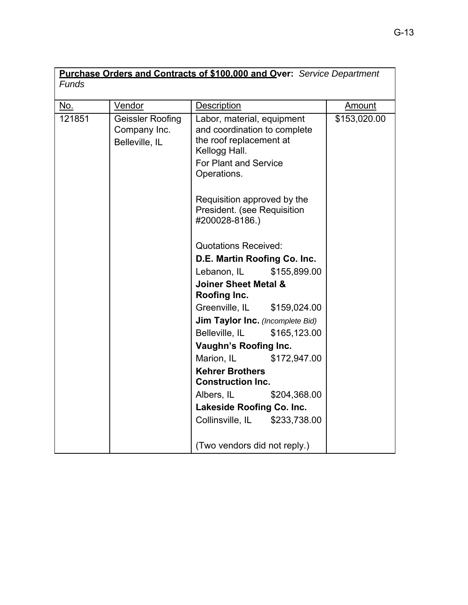| <b>Funds</b> |                                                    | Purchase Orders and Contracts of \$100.000 and Over: Service Department                                                                               |               |
|--------------|----------------------------------------------------|-------------------------------------------------------------------------------------------------------------------------------------------------------|---------------|
| No.          | Vendor                                             | <b>Description</b>                                                                                                                                    | <u>Amount</u> |
| 121851       | Geissler Roofing<br>Company Inc.<br>Belleville, IL | Labor, material, equipment<br>and coordination to complete<br>the roof replacement at<br>Kellogg Hall.<br><b>For Plant and Service</b><br>Operations. | \$153,020.00  |
|              |                                                    | Requisition approved by the<br>President. (see Requisition<br>#200028-8186.)                                                                          |               |
|              |                                                    | <b>Quotations Received:</b>                                                                                                                           |               |
|              |                                                    | D.E. Martin Roofing Co. Inc.                                                                                                                          |               |
|              |                                                    | \$155,899.00<br>Lebanon, IL                                                                                                                           |               |
|              |                                                    | <b>Joiner Sheet Metal &amp;</b><br>Roofing Inc.                                                                                                       |               |
|              |                                                    | Greenville, IL<br>\$159,024.00                                                                                                                        |               |
|              |                                                    | Jim Taylor Inc. (Incomplete Bid)                                                                                                                      |               |
|              |                                                    | Belleville, IL<br>\$165,123.00                                                                                                                        |               |
|              |                                                    | Vaughn's Roofing Inc.                                                                                                                                 |               |
|              |                                                    | Marion, IL<br>\$172,947.00                                                                                                                            |               |
|              |                                                    | <b>Kehrer Brothers</b><br><b>Construction Inc.</b>                                                                                                    |               |
|              |                                                    | Albers, IL<br>\$204,368.00                                                                                                                            |               |
|              |                                                    | Lakeside Roofing Co. Inc.                                                                                                                             |               |
|              |                                                    | Collinsville, IL<br>\$233,738.00                                                                                                                      |               |
|              |                                                    | (Two vendors did not reply.)                                                                                                                          |               |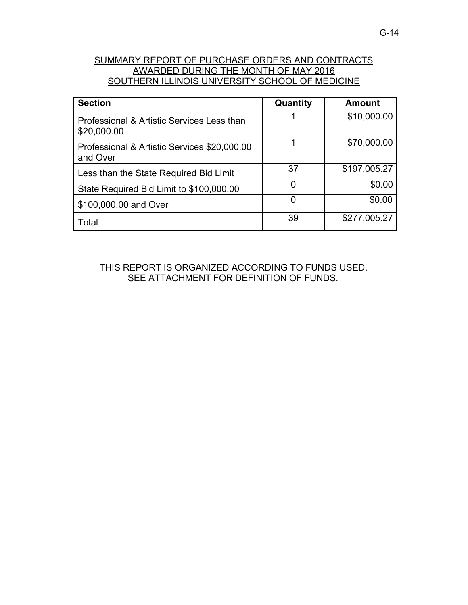# SUMMARY REPORT OF PURCHASE ORDERS AND CONTRACTS AWARDED DURING THE MONTH OF MAY 2016 SOUTHERN ILLINOIS UNIVERSITY SCHOOL OF MEDICINE

| <b>Section</b>                                            | Quantity | <b>Amount</b> |
|-----------------------------------------------------------|----------|---------------|
| Professional & Artistic Services Less than<br>\$20,000.00 |          | \$10,000.00   |
| Professional & Artistic Services \$20,000.00<br>and Over  |          | \$70,000.00   |
| Less than the State Required Bid Limit                    | 37       | \$197,005.27  |
| State Required Bid Limit to \$100,000.00                  | 0        | \$0.00        |
| \$100,000.00 and Over                                     | 0        | \$0.00        |
| Total                                                     | 39       | \$277,005.27  |

THIS REPORT IS ORGANIZED ACCORDING TO FUNDS USED. SEE ATTACHMENT FOR DEFINITION OF FUNDS.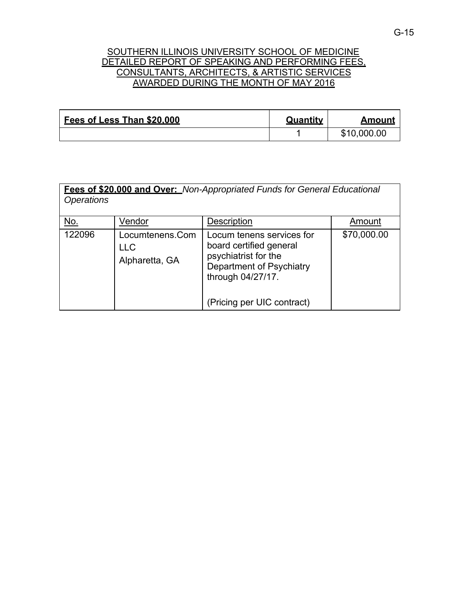## SOUTHERN ILLINOIS UNIVERSITY SCHOOL OF MEDICINE DETAILED REPORT OF SPEAKING AND PERFORMING FEES. CONSULTANTS, ARCHITECTS, & ARTISTIC SERVICES AWARDED DURING THE MONTH OF MAY 2016

| Fees of Less Than \$20,000 | Quantity | Amount      |
|----------------------------|----------|-------------|
|                            |          | \$10,000.00 |

| <b>Fees of \$20,000 and Over:</b> Non-Appropriated Funds for General Educational<br><i><b>Operations</b></i> |                                                 |                                                                                                                                                             |             |
|--------------------------------------------------------------------------------------------------------------|-------------------------------------------------|-------------------------------------------------------------------------------------------------------------------------------------------------------------|-------------|
| No.                                                                                                          | Vendor                                          | Description                                                                                                                                                 | Amount      |
| 122096                                                                                                       | Locumtenens.Com<br><b>LLC</b><br>Alpharetta, GA | Locum tenens services for<br>board certified general<br>psychiatrist for the<br>Department of Psychiatry<br>through 04/27/17.<br>(Pricing per UIC contract) | \$70,000.00 |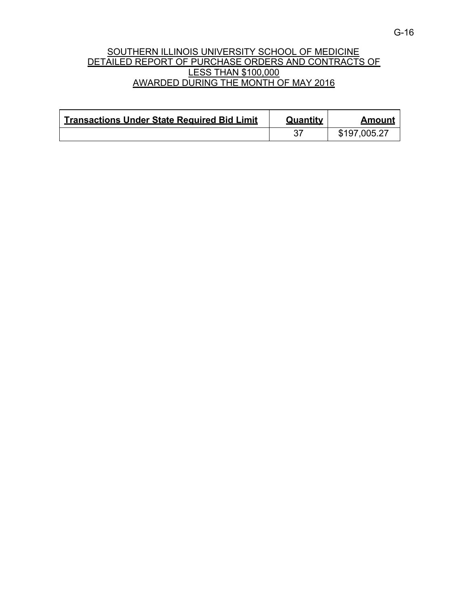## SOUTHERN ILLINOIS UNIVERSITY SCHOOL OF MEDICINE DETAILED REPORT OF PURCHASE ORDERS AND CONTRACTS OF LESS THAN \$100,000 AWARDED DURING THE MONTH OF MAY 2016

| <b>Transactions Under State Required Bid Limit</b> | Quantity | Amount       |
|----------------------------------------------------|----------|--------------|
|                                                    |          | \$197,005.27 |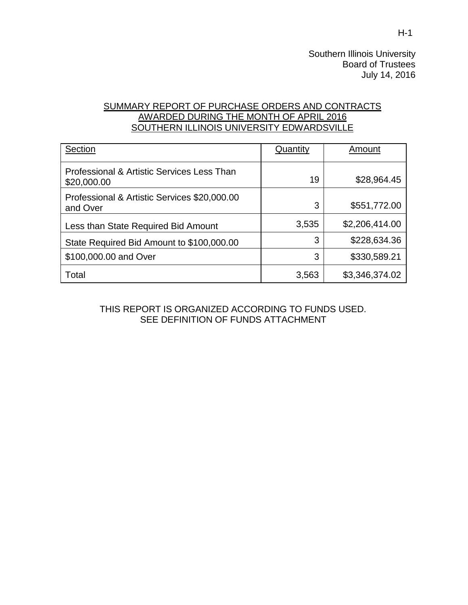Southern Illinois University Board of Trustees July 14, 2016

# SUMMARY REPORT OF PURCHASE ORDERS AND CONTRACTS AWARDED DURING THE MONTH OF APRIL 2016 SOUTHERN ILLINOIS UNIVERSITY EDWARDSVILLE

| Section                                                   | Quantity | Amount         |
|-----------------------------------------------------------|----------|----------------|
| Professional & Artistic Services Less Than<br>\$20,000.00 | 19       | \$28,964.45    |
| Professional & Artistic Services \$20,000.00<br>and Over  | 3        | \$551,772.00   |
| Less than State Required Bid Amount                       | 3,535    | \$2,206,414.00 |
| State Required Bid Amount to \$100,000.00                 | 3        | \$228,634.36   |
| \$100,000.00 and Over                                     | 3        | \$330,589.21   |
| Total                                                     | 3,563    | \$3,346,374.02 |

THIS REPORT IS ORGANIZED ACCORDING TO FUNDS USED. SEE DEFINITION OF FUNDS ATTACHMENT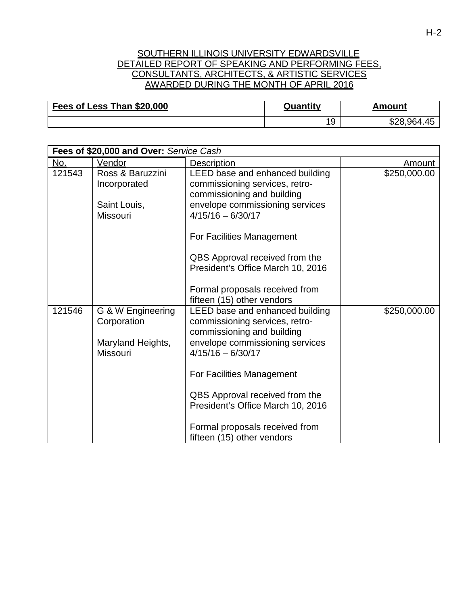### SOUTHERN ILLINOIS UNIVERSITY EDWARDSVILLE DETAILED REPORT OF SPEAKING AND PERFORMING FEES. CONSULTANTS, ARCHITECTS, & ARTISTIC SERVICES AWARDED DURING THE MONTH OF APRIL 2016

| Fees of Less Than \$20,000 | Quantity | Amount      |
|----------------------------|----------|-------------|
|                            | 19       | \$28,964.45 |

|        | Fees of \$20,000 and Over: Service Cash |                                                                                                 |               |  |
|--------|-----------------------------------------|-------------------------------------------------------------------------------------------------|---------------|--|
| No.    | Vendor                                  | <b>Description</b>                                                                              | <u>Amount</u> |  |
| 121543 | Ross & Baruzzini<br>Incorporated        | LEED base and enhanced building<br>commissioning services, retro-<br>commissioning and building | \$250,000.00  |  |
|        | Saint Louis,<br><b>Missouri</b>         | envelope commissioning services<br>$4/15/16 - 6/30/17$                                          |               |  |
|        |                                         | For Facilities Management                                                                       |               |  |
|        |                                         | QBS Approval received from the<br>President's Office March 10, 2016                             |               |  |
|        |                                         | Formal proposals received from<br>fifteen (15) other vendors                                    |               |  |
| 121546 | G & W Engineering<br>Corporation        | LEED base and enhanced building<br>commissioning services, retro-<br>commissioning and building | \$250,000.00  |  |
|        | Maryland Heights,<br>Missouri           | envelope commissioning services<br>$4/15/16 - 6/30/17$                                          |               |  |
|        |                                         | For Facilities Management                                                                       |               |  |
|        |                                         | QBS Approval received from the<br>President's Office March 10, 2016                             |               |  |
|        |                                         | Formal proposals received from<br>fifteen (15) other vendors                                    |               |  |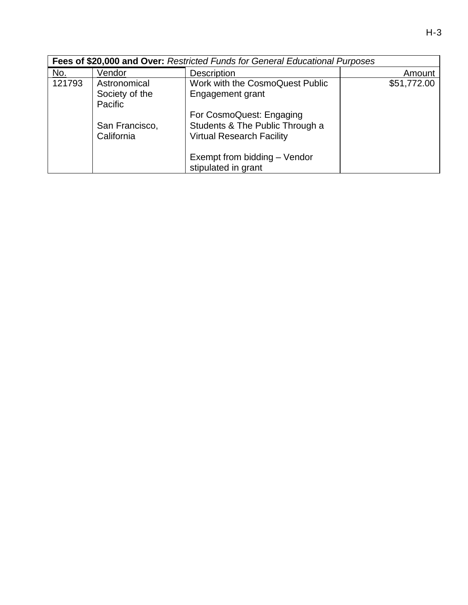| I<br>M.<br>۰.<br>- |
|--------------------|
|--------------------|

|        | Fees of \$20,000 and Over: Restricted Funds for General Educational Purposes |                                                                                                 |             |  |  |
|--------|------------------------------------------------------------------------------|-------------------------------------------------------------------------------------------------|-------------|--|--|
| No.    | Vendor                                                                       | <b>Description</b>                                                                              | Amount      |  |  |
| 121793 | Astronomical                                                                 | Work with the CosmoQuest Public                                                                 | \$51,772.00 |  |  |
|        | Society of the                                                               | Engagement grant                                                                                |             |  |  |
|        | Pacific                                                                      |                                                                                                 |             |  |  |
|        | San Francisco,<br>California                                                 | For CosmoQuest: Engaging<br>Students & The Public Through a<br><b>Virtual Research Facility</b> |             |  |  |
|        |                                                                              | Exempt from bidding - Vendor<br>stipulated in grant                                             |             |  |  |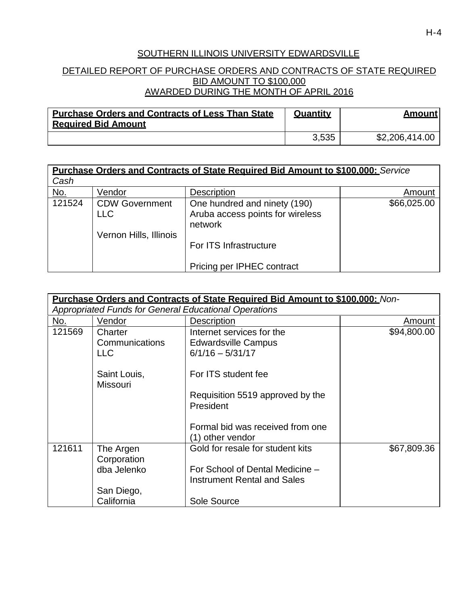# SOUTHERN ILLINOIS UNIVERSITY EDWARDSVILLE

## DETAILED REPORT OF PURCHASE ORDERS AND CONTRACTS OF STATE REQUIRED BID AMOUNT TO \$100,000 AWARDED DURING THE MONTH OF APRIL 2016

| <b>Purchase Orders and Contracts of Less Than State</b><br><b>Required Bid Amount</b> | Quantity | <b>Amount</b>  |
|---------------------------------------------------------------------------------------|----------|----------------|
|                                                                                       | 3,535    | \$2,206,414.00 |

|                    |                                     | <b>Purchase Orders and Contracts of State Required Bid Amount to \$100,000: Service</b> |             |
|--------------------|-------------------------------------|-----------------------------------------------------------------------------------------|-------------|
| Cash               |                                     |                                                                                         |             |
| <u>No.</u>         | Vendor                              | <b>Description</b>                                                                      | Amount      |
| $\frac{1}{121524}$ | <b>CDW Government</b><br><b>LLC</b> | One hundred and ninety (190)<br>Aruba access points for wireless<br>network             | \$66,025.00 |
|                    | Vernon Hills, Illinois              | For ITS Infrastructure<br>Pricing per IPHEC contract                                    |             |

|        |                                         | <b>Purchase Orders and Contracts of State Required Bid Amount to \$100,000:</b> Non- |             |
|--------|-----------------------------------------|--------------------------------------------------------------------------------------|-------------|
|        |                                         | <b>Appropriated Funds for General Educational Operations</b>                         |             |
| No.    | Vendor                                  | <b>Description</b>                                                                   | Amount      |
| 121569 | Charter<br>Communications<br><b>LLC</b> | Internet services for the<br><b>Edwardsville Campus</b><br>$6/1/16 - 5/31/17$        | \$94,800.00 |
|        | Saint Louis,<br><b>Missouri</b>         | For ITS student fee                                                                  |             |
|        |                                         | Requisition 5519 approved by the<br>President                                        |             |
|        |                                         | Formal bid was received from one<br>(1) other vendor                                 |             |
| 121611 | The Argen<br>Corporation                | Gold for resale for student kits                                                     | \$67,809.36 |
|        | dba Jelenko                             | For School of Dental Medicine -<br><b>Instrument Rental and Sales</b>                |             |
|        | San Diego,                              |                                                                                      |             |
|        | California                              | Sole Source                                                                          |             |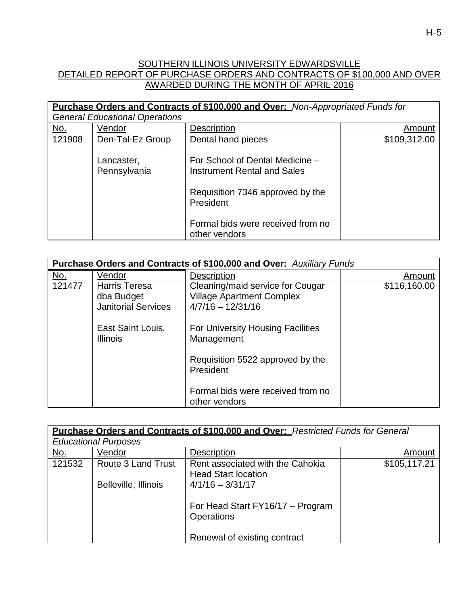# SOUTHERN ILLINOIS UNIVERSITY EDWARDSVILLE DETAILED REPORT OF PURCHASE ORDERS AND CONTRACTS OF \$100,000 AND OVER AWARDED DURING THE MONTH OF APRIL 2016

|            |                                       | Purchase Orders and Contracts of \$100,000 and Over: Non-Appropriated Funds for                                 |              |
|------------|---------------------------------------|-----------------------------------------------------------------------------------------------------------------|--------------|
|            | <b>General Educational Operations</b> |                                                                                                                 |              |
| <u>No.</u> | Vendor                                | <b>Description</b>                                                                                              | Amount       |
| 121908     | Den-Tal-Ez Group                      | Dental hand pieces                                                                                              | \$109,312.00 |
|            | Lancaster,<br>Pennsylvania            | For School of Dental Medicine -<br>Instrument Rental and Sales<br>Requisition 7346 approved by the<br>President |              |
|            |                                       | Formal bids were received from no<br>other vendors                                                              |              |

|        | Purchase Orders and Contracts of \$100,000 and Over: Auxiliary Funds |                                                                                             |              |  |
|--------|----------------------------------------------------------------------|---------------------------------------------------------------------------------------------|--------------|--|
| No.    | Vendor                                                               | <b>Description</b>                                                                          | Amount       |  |
| 121477 | <b>Harris Teresa</b><br>dba Budget<br><b>Janitorial Services</b>     | Cleaning/maid service for Cougar<br><b>Village Apartment Complex</b><br>$4/7/16 - 12/31/16$ | \$116,160.00 |  |
|        | East Saint Louis,<br><b>Illinois</b>                                 | For University Housing Facilities<br>Management                                             |              |  |
|        |                                                                      | Requisition 5522 approved by the<br>President                                               |              |  |
|        |                                                                      | Formal bids were received from no<br>other vendors                                          |              |  |

|                     |                             | <b>Purchase Orders and Contracts of \$100,000 and Over:</b> Restricted Funds for General |              |
|---------------------|-----------------------------|------------------------------------------------------------------------------------------|--------------|
|                     | <b>Educational Purposes</b> |                                                                                          |              |
| <u>No.</u>          | Vendor                      | Description                                                                              | Amount       |
| $\overline{121532}$ | <b>Route 3 Land Trust</b>   | Rent associated with the Cahokia<br><b>Head Start location</b>                           | \$105,117.21 |
|                     | Belleville, Illinois        | $4/1/16 - 3/31/17$                                                                       |              |
|                     |                             | For Head Start FY16/17 - Program<br>Operations                                           |              |
|                     |                             | Renewal of existing contract                                                             |              |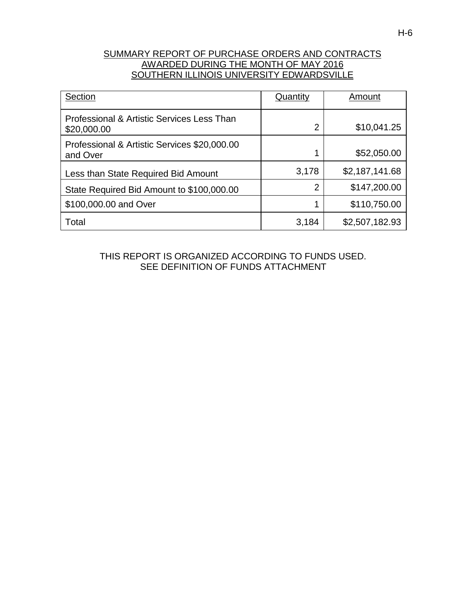# SUMMARY REPORT OF PURCHASE ORDERS AND CONTRACTS AWARDED DURING THE MONTH OF MAY 2016 SOUTHERN ILLINOIS UNIVERSITY EDWARDSVILLE

| Section                                                   | Quantity       | Amount         |
|-----------------------------------------------------------|----------------|----------------|
| Professional & Artistic Services Less Than<br>\$20,000.00 | 2              | \$10,041.25    |
| Professional & Artistic Services \$20,000.00<br>and Over  |                | \$52,050.00    |
| Less than State Required Bid Amount                       | 3,178          | \$2,187,141.68 |
| State Required Bid Amount to \$100,000.00                 | $\overline{2}$ | \$147,200.00   |
| \$100,000.00 and Over                                     | 4              | \$110,750.00   |
| Total                                                     | 3,184          | \$2,507,182.93 |

THIS REPORT IS ORGANIZED ACCORDING TO FUNDS USED. SEE DEFINITION OF FUNDS ATTACHMENT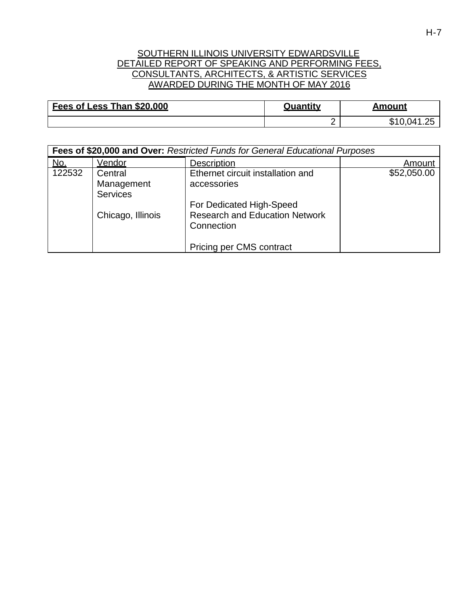### SOUTHERN ILLINOIS UNIVERSITY EDWARDSVILLE DETAILED REPORT OF SPEAKING AND PERFORMING FEES, CONSULTANTS, ARCHITECTS, & ARTISTIC SERVICES AWARDED DURING THE MONTH OF MAY 2016

| Fees of Less Than \$20,000 | Quantity | Amount |
|----------------------------|----------|--------|
|                            | ◠<br>-   | ۰D     |

|        | Fees of \$20,000 and Over: Restricted Funds for General Educational Purposes |                                                                                 |             |  |  |
|--------|------------------------------------------------------------------------------|---------------------------------------------------------------------------------|-------------|--|--|
| No.    | Vendor                                                                       | <b>Description</b>                                                              | Amount      |  |  |
| 122532 | Central<br>Management<br><b>Services</b>                                     | Ethernet circuit installation and<br>accessories                                | \$52,050.00 |  |  |
|        | Chicago, Illinois                                                            | For Dedicated High-Speed<br><b>Research and Education Network</b><br>Connection |             |  |  |
|        |                                                                              | Pricing per CMS contract                                                        |             |  |  |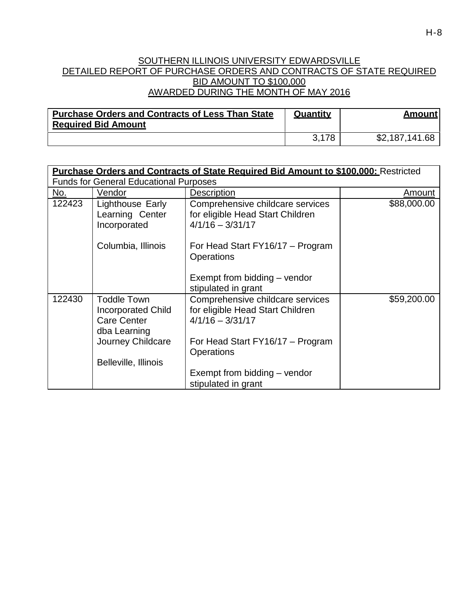### SOUTHERN ILLINOIS UNIVERSITY EDWARDSVILLE DETAILED REPORT OF PURCHASE ORDERS AND CONTRACTS OF STATE REQUIRED BID AMOUNT TO \$100,000 AWARDED DURING THE MONTH OF MAY 2016

| <b>Purchase Orders and Contracts of Less Than State</b><br><b>Required Bid Amount</b> | Quantity | Amount         |
|---------------------------------------------------------------------------------------|----------|----------------|
|                                                                                       | 3.178    | \$2,187,141.68 |

| <b>Purchase Orders and Contracts of State Required Bid Amount to \$100,000:</b> Restricted |                                                                                                                             |                                                                                                                                                                                                                                   |             |  |
|--------------------------------------------------------------------------------------------|-----------------------------------------------------------------------------------------------------------------------------|-----------------------------------------------------------------------------------------------------------------------------------------------------------------------------------------------------------------------------------|-------------|--|
| <b>Funds for General Educational Purposes</b>                                              |                                                                                                                             |                                                                                                                                                                                                                                   |             |  |
| No.                                                                                        | Vendor                                                                                                                      | <b>Description</b>                                                                                                                                                                                                                | Amount      |  |
| 122423                                                                                     | Lighthouse Early<br>Learning Center<br>Incorporated                                                                         | Comprehensive childcare services<br>for eligible Head Start Children<br>$4/1/16 - 3/31/17$                                                                                                                                        | \$88,000.00 |  |
|                                                                                            | Columbia, Illinois                                                                                                          | For Head Start FY16/17 – Program<br><b>Operations</b><br>Exempt from bidding - vendor                                                                                                                                             |             |  |
| 122430                                                                                     | <b>Toddle Town</b><br>Incorporated Child<br><b>Care Center</b><br>dba Learning<br>Journey Childcare<br>Belleville, Illinois | stipulated in grant<br>Comprehensive childcare services<br>for eligible Head Start Children<br>$4/1/16 - 3/31/17$<br>For Head Start FY16/17 – Program<br><b>Operations</b><br>Exempt from bidding – vendor<br>stipulated in grant | \$59,200.00 |  |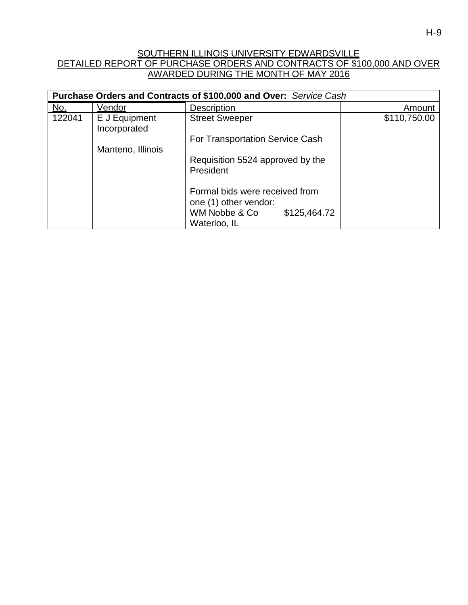# SOUTHERN ILLINOIS UNIVERSITY EDWARDSVILLE DETAILED REPORT OF PURCHASE ORDERS AND CONTRACTS OF \$100,000 AND OVER AWARDED DURING THE MONTH OF MAY 2016

| Purchase Orders and Contracts of \$100,000 and Over: Service Cash |                               |                                                         |              |  |
|-------------------------------------------------------------------|-------------------------------|---------------------------------------------------------|--------------|--|
| No.                                                               | Vendor                        | <b>Description</b>                                      | Amount       |  |
| 122041                                                            | E J Equipment<br>Incorporated | <b>Street Sweeper</b>                                   | \$110,750.00 |  |
|                                                                   | Manteno, Illinois             | For Transportation Service Cash                         |              |  |
|                                                                   |                               | Requisition 5524 approved by the<br>President           |              |  |
|                                                                   |                               | Formal bids were received from<br>one (1) other vendor: |              |  |
|                                                                   |                               | WM Nobbe & Co<br>\$125,464.72<br>Waterloo, IL           |              |  |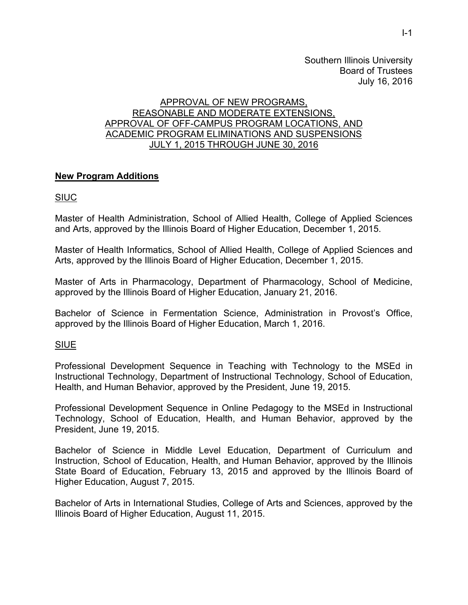Southern Illinois University Board of Trustees July 16, 2016

#### APPROVAL OF NEW PROGRAMS, REASONABLE AND MODERATE EXTENSIONS, APPROVAL OF OFF-CAMPUS PROGRAM LOCATIONS, AND ACADEMIC PROGRAM ELIMINATIONS AND SUSPENSIONS JULY 1, 2015 THROUGH JUNE 30, 2016

# **New Program Additions**

## SIUC

Master of Health Administration, School of Allied Health, College of Applied Sciences and Arts, approved by the Illinois Board of Higher Education, December 1, 2015.

Master of Health Informatics, School of Allied Health, College of Applied Sciences and Arts, approved by the Illinois Board of Higher Education, December 1, 2015.

Master of Arts in Pharmacology, Department of Pharmacology, School of Medicine, approved by the Illinois Board of Higher Education, January 21, 2016.

Bachelor of Science in Fermentation Science, Administration in Provost's Office, approved by the Illinois Board of Higher Education, March 1, 2016.

## SIUE

Professional Development Sequence in Teaching with Technology to the MSEd in Instructional Technology, Department of Instructional Technology, School of Education, Health, and Human Behavior, approved by the President, June 19, 2015.

Professional Development Sequence in Online Pedagogy to the MSEd in Instructional Technology, School of Education, Health, and Human Behavior, approved by the President, June 19, 2015.

Bachelor of Science in Middle Level Education, Department of Curriculum and Instruction, School of Education, Health, and Human Behavior, approved by the Illinois State Board of Education, February 13, 2015 and approved by the Illinois Board of Higher Education, August 7, 2015.

Bachelor of Arts in International Studies, College of Arts and Sciences, approved by the Illinois Board of Higher Education, August 11, 2015.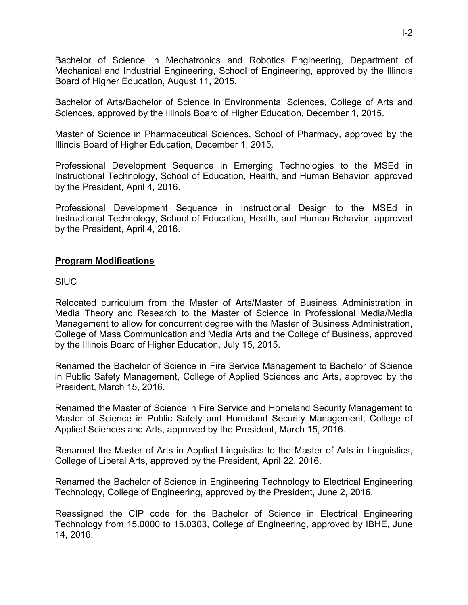Bachelor of Science in Mechatronics and Robotics Engineering, Department of Mechanical and Industrial Engineering, School of Engineering, approved by the Illinois Board of Higher Education, August 11, 2015.

Bachelor of Arts/Bachelor of Science in Environmental Sciences, College of Arts and Sciences, approved by the Illinois Board of Higher Education, December 1, 2015.

Master of Science in Pharmaceutical Sciences, School of Pharmacy, approved by the Illinois Board of Higher Education, December 1, 2015.

Professional Development Sequence in Emerging Technologies to the MSEd in Instructional Technology, School of Education, Health, and Human Behavior, approved by the President, April 4, 2016.

Professional Development Sequence in Instructional Design to the MSEd in Instructional Technology, School of Education, Health, and Human Behavior, approved by the President, April 4, 2016.

# **Program Modifications**

# **SIUC**

Relocated curriculum from the Master of Arts/Master of Business Administration in Media Theory and Research to the Master of Science in Professional Media/Media Management to allow for concurrent degree with the Master of Business Administration, College of Mass Communication and Media Arts and the College of Business, approved by the Illinois Board of Higher Education, July 15, 2015.

Renamed the Bachelor of Science in Fire Service Management to Bachelor of Science in Public Safety Management, College of Applied Sciences and Arts, approved by the President, March 15, 2016.

Renamed the Master of Science in Fire Service and Homeland Security Management to Master of Science in Public Safety and Homeland Security Management, College of Applied Sciences and Arts, approved by the President, March 15, 2016.

Renamed the Master of Arts in Applied Linguistics to the Master of Arts in Linguistics, College of Liberal Arts, approved by the President, April 22, 2016.

Renamed the Bachelor of Science in Engineering Technology to Electrical Engineering Technology, College of Engineering, approved by the President, June 2, 2016.

Reassigned the CIP code for the Bachelor of Science in Electrical Engineering Technology from 15.0000 to 15.0303, College of Engineering, approved by IBHE, June 14, 2016.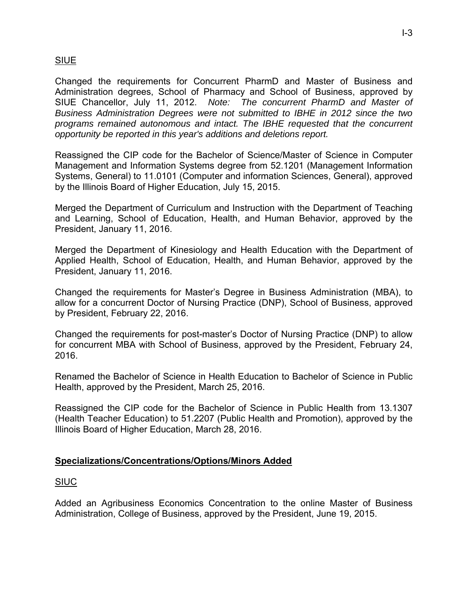# SIUE

Changed the requirements for Concurrent PharmD and Master of Business and Administration degrees, School of Pharmacy and School of Business, approved by SIUE Chancellor, July 11, 2012. *Note: The concurrent PharmD and Master of Business Administration Degrees were not submitted to IBHE in 2012 since the two programs remained autonomous and intact. The IBHE requested that the concurrent opportunity be reported in this year's additions and deletions report.*

Reassigned the CIP code for the Bachelor of Science/Master of Science in Computer Management and Information Systems degree from 52.1201 (Management Information Systems, General) to 11.0101 (Computer and information Sciences, General), approved by the Illinois Board of Higher Education, July 15, 2015.

Merged the Department of Curriculum and Instruction with the Department of Teaching and Learning, School of Education, Health, and Human Behavior, approved by the President, January 11, 2016.

Merged the Department of Kinesiology and Health Education with the Department of Applied Health, School of Education, Health, and Human Behavior, approved by the President, January 11, 2016.

Changed the requirements for Master's Degree in Business Administration (MBA), to allow for a concurrent Doctor of Nursing Practice (DNP), School of Business, approved by President, February 22, 2016.

Changed the requirements for post-master's Doctor of Nursing Practice (DNP) to allow for concurrent MBA with School of Business, approved by the President, February 24, 2016.

Renamed the Bachelor of Science in Health Education to Bachelor of Science in Public Health, approved by the President, March 25, 2016.

Reassigned the CIP code for the Bachelor of Science in Public Health from 13.1307 (Health Teacher Education) to 51.2207 (Public Health and Promotion), approved by the Illinois Board of Higher Education, March 28, 2016.

## **Specializations/Concentrations/Options/Minors Added**

## SIUC

Added an Agribusiness Economics Concentration to the online Master of Business Administration, College of Business, approved by the President, June 19, 2015.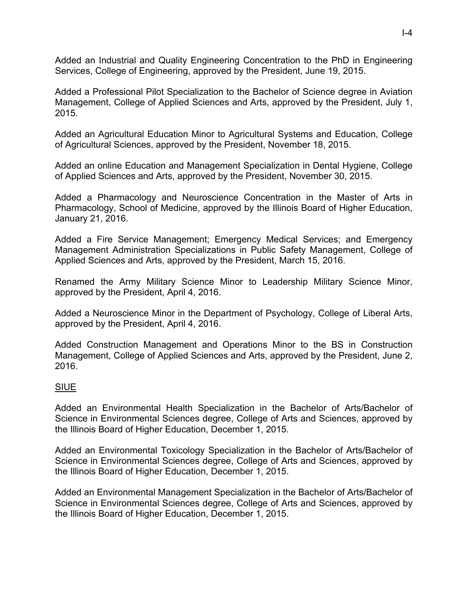Added an Industrial and Quality Engineering Concentration to the PhD in Engineering Services, College of Engineering, approved by the President, June 19, 2015.

Added a Professional Pilot Specialization to the Bachelor of Science degree in Aviation Management, College of Applied Sciences and Arts, approved by the President, July 1, 2015.

Added an Agricultural Education Minor to Agricultural Systems and Education, College of Agricultural Sciences, approved by the President, November 18, 2015.

Added an online Education and Management Specialization in Dental Hygiene, College of Applied Sciences and Arts, approved by the President, November 30, 2015.

Added a Pharmacology and Neuroscience Concentration in the Master of Arts in Pharmacology, School of Medicine, approved by the Illinois Board of Higher Education, January 21, 2016.

Added a Fire Service Management; Emergency Medical Services; and Emergency Management Administration Specializations in Public Safety Management, College of Applied Sciences and Arts, approved by the President, March 15, 2016.

Renamed the Army Military Science Minor to Leadership Military Science Minor, approved by the President, April 4, 2016.

Added a Neuroscience Minor in the Department of Psychology, College of Liberal Arts, approved by the President, April 4, 2016.

Added Construction Management and Operations Minor to the BS in Construction Management, College of Applied Sciences and Arts, approved by the President, June 2, 2016.

## SIUE

Added an Environmental Health Specialization in the Bachelor of Arts/Bachelor of Science in Environmental Sciences degree, College of Arts and Sciences, approved by the Illinois Board of Higher Education, December 1, 2015.

Added an Environmental Toxicology Specialization in the Bachelor of Arts/Bachelor of Science in Environmental Sciences degree, College of Arts and Sciences, approved by the Illinois Board of Higher Education, December 1, 2015.

Added an Environmental Management Specialization in the Bachelor of Arts/Bachelor of Science in Environmental Sciences degree, College of Arts and Sciences, approved by the Illinois Board of Higher Education, December 1, 2015.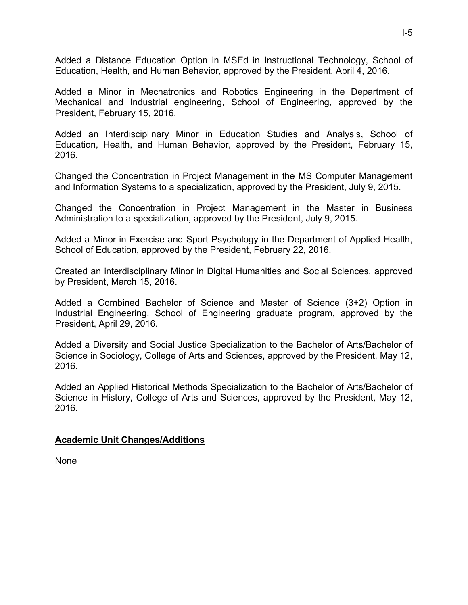Added a Distance Education Option in MSEd in Instructional Technology, School of Education, Health, and Human Behavior, approved by the President, April 4, 2016.

Added a Minor in Mechatronics and Robotics Engineering in the Department of Mechanical and Industrial engineering, School of Engineering, approved by the President, February 15, 2016.

Added an Interdisciplinary Minor in Education Studies and Analysis, School of Education, Health, and Human Behavior, approved by the President, February 15, 2016.

Changed the Concentration in Project Management in the MS Computer Management and Information Systems to a specialization, approved by the President, July 9, 2015.

Changed the Concentration in Project Management in the Master in Business Administration to a specialization, approved by the President, July 9, 2015.

Added a Minor in Exercise and Sport Psychology in the Department of Applied Health, School of Education, approved by the President, February 22, 2016.

Created an interdisciplinary Minor in Digital Humanities and Social Sciences, approved by President, March 15, 2016.

Added a Combined Bachelor of Science and Master of Science (3+2) Option in Industrial Engineering, School of Engineering graduate program, approved by the President, April 29, 2016.

Added a Diversity and Social Justice Specialization to the Bachelor of Arts/Bachelor of Science in Sociology, College of Arts and Sciences, approved by the President, May 12, 2016.

Added an Applied Historical Methods Specialization to the Bachelor of Arts/Bachelor of Science in History, College of Arts and Sciences, approved by the President, May 12, 2016.

## **Academic Unit Changes/Additions**

None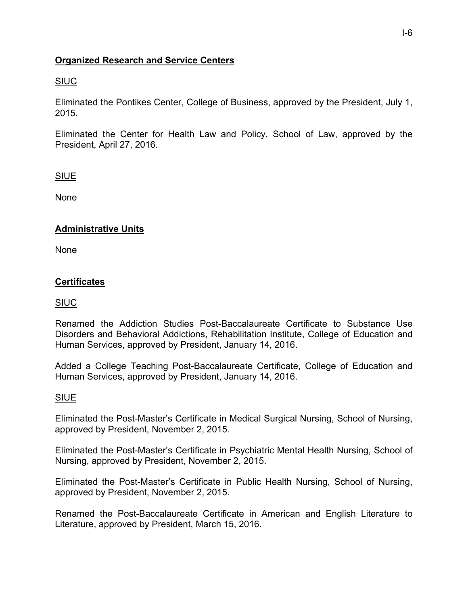# **Organized Research and Service Centers**

# SIUC

Eliminated the Pontikes Center, College of Business, approved by the President, July 1, 2015.

Eliminated the Center for Health Law and Policy, School of Law, approved by the President, April 27, 2016.

# SIUE

None

# **Administrative Units**

None

# **Certificates**

## SIUC

Renamed the Addiction Studies Post-Baccalaureate Certificate to Substance Use Disorders and Behavioral Addictions, Rehabilitation Institute, College of Education and Human Services, approved by President, January 14, 2016.

Added a College Teaching Post-Baccalaureate Certificate, College of Education and Human Services, approved by President, January 14, 2016.

## SIUE

Eliminated the Post-Master's Certificate in Medical Surgical Nursing, School of Nursing, approved by President, November 2, 2015.

Eliminated the Post-Master's Certificate in Psychiatric Mental Health Nursing, School of Nursing, approved by President, November 2, 2015.

Eliminated the Post-Master's Certificate in Public Health Nursing, School of Nursing, approved by President, November 2, 2015.

Renamed the Post-Baccalaureate Certificate in American and English Literature to Literature, approved by President, March 15, 2016.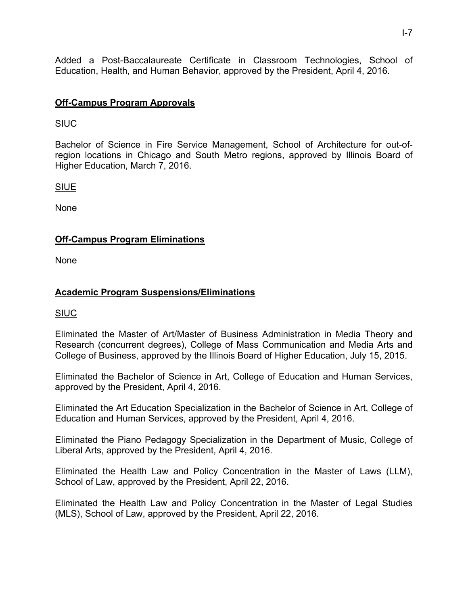Added a Post-Baccalaureate Certificate in Classroom Technologies, School of Education, Health, and Human Behavior, approved by the President, April 4, 2016.

# **Off-Campus Program Approvals**

# SIUC

Bachelor of Science in Fire Service Management, School of Architecture for out-ofregion locations in Chicago and South Metro regions, approved by Illinois Board of Higher Education, March 7, 2016.

SIUE

None

# **Off-Campus Program Eliminations**

None

# **Academic Program Suspensions/Eliminations**

## SIUC

Eliminated the Master of Art/Master of Business Administration in Media Theory and Research (concurrent degrees), College of Mass Communication and Media Arts and College of Business, approved by the Illinois Board of Higher Education, July 15, 2015.

Eliminated the Bachelor of Science in Art, College of Education and Human Services, approved by the President, April 4, 2016.

Eliminated the Art Education Specialization in the Bachelor of Science in Art, College of Education and Human Services, approved by the President, April 4, 2016.

Eliminated the Piano Pedagogy Specialization in the Department of Music, College of Liberal Arts, approved by the President, April 4, 2016.

Eliminated the Health Law and Policy Concentration in the Master of Laws (LLM), School of Law, approved by the President, April 22, 2016.

Eliminated the Health Law and Policy Concentration in the Master of Legal Studies (MLS), School of Law, approved by the President, April 22, 2016.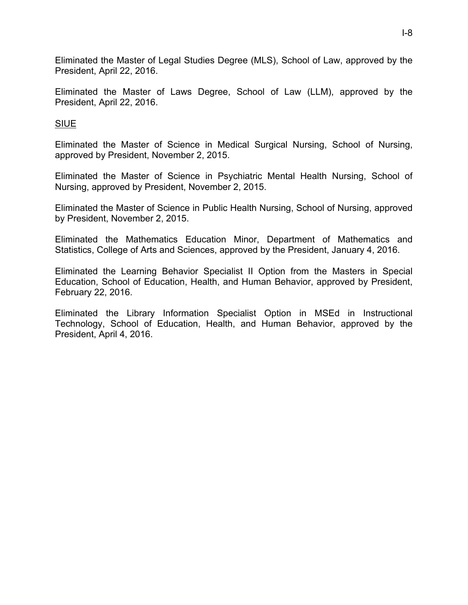Eliminated the Master of Legal Studies Degree (MLS), School of Law, approved by the President, April 22, 2016.

Eliminated the Master of Laws Degree, School of Law (LLM), approved by the President, April 22, 2016.

SIUE

Eliminated the Master of Science in Medical Surgical Nursing, School of Nursing, approved by President, November 2, 2015.

Eliminated the Master of Science in Psychiatric Mental Health Nursing, School of Nursing, approved by President, November 2, 2015.

Eliminated the Master of Science in Public Health Nursing, School of Nursing, approved by President, November 2, 2015.

Eliminated the Mathematics Education Minor, Department of Mathematics and Statistics, College of Arts and Sciences, approved by the President, January 4, 2016.

Eliminated the Learning Behavior Specialist II Option from the Masters in Special Education, School of Education, Health, and Human Behavior, approved by President, February 22, 2016.

Eliminated the Library Information Specialist Option in MSEd in Instructional Technology, School of Education, Health, and Human Behavior, approved by the President, April 4, 2016.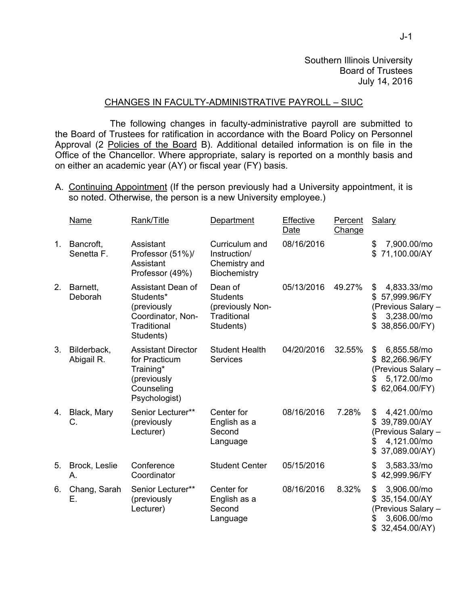# CHANGES IN FACULTY-ADMINISTRATIVE PAYROLL – SIUC

 The following changes in faculty-administrative payroll are submitted to the Board of Trustees for ratification in accordance with the Board Policy on Personnel Approval (2 Policies of the Board B). Additional detailed information is on file in the Office of the Chancellor. Where appropriate, salary is reported on a monthly basis and on either an academic year (AY) or fiscal year (FY) basis.

A. Continuing Appointment (If the person previously had a University appointment, it is so noted. Otherwise, the person is a new University employee.)

|    | Name                      | Rank/Title                                                                                            | Department                                                                 | Effective<br>Date | Percent<br>Change | Salary                                                                                                    |
|----|---------------------------|-------------------------------------------------------------------------------------------------------|----------------------------------------------------------------------------|-------------------|-------------------|-----------------------------------------------------------------------------------------------------------|
| 1. | Bancroft,<br>Senetta F.   | Assistant<br>Professor (51%)/<br>Assistant<br>Professor (49%)                                         | Curriculum and<br>Instruction/<br>Chemistry and<br>Biochemistry            | 08/16/2016        |                   | 7,900.00/mo<br>\$<br>71,100.00/AY<br>\$.                                                                  |
| 2. | Barnett,<br>Deborah       | Assistant Dean of<br>Students*<br>(previously<br>Coordinator, Non-<br>Traditional<br>Students)        | Dean of<br><b>Students</b><br>(previously Non-<br>Traditional<br>Students) | 05/13/2016        | 49.27%            | 4,833.33/mo<br>\$<br>57,999.96/FY<br>S<br>(Previous Salary -<br>3,238.00/mo<br>\$<br>\$38,856.00/FY)      |
| 3. | Bilderback,<br>Abigail R. | <b>Assistant Director</b><br>for Practicum<br>Training*<br>(previously<br>Counseling<br>Psychologist) | <b>Student Health</b><br><b>Services</b>                                   | 04/20/2016        | 32.55%            | \$<br>6,855.58/mo<br>82,266.96/FY<br>\$.<br>(Previous Salary -<br>5,172.00/mo<br>\$<br>62,064.00/FY)      |
| 4. | Black, Mary<br>C.         | Senior Lecturer**<br>(previously<br>Lecturer)                                                         | Center for<br>English as a<br>Second<br>Language                           | 08/16/2016        | 7.28%             | \$<br>4,421.00/mo<br>39,789.00/AY<br>\$<br>(Previous Salary -<br>4,121.00/mo<br>\$<br>37,089.00/AY)<br>\$ |
| 5. | Brock, Leslie<br>А.       | Conference<br>Coordinator                                                                             | <b>Student Center</b>                                                      | 05/15/2016        |                   | 3,583.33/mo<br>\$<br>42,999.96/FY<br>S                                                                    |
| 6. | Chang, Sarah<br>Е.        | Senior Lecturer**<br>(previously<br>Lecturer)                                                         | Center for<br>English as a<br>Second<br>Language                           | 08/16/2016        | 8.32%             | \$<br>3,906.00/mo<br>35,154.00/AY<br>(Previous Salary -<br>3,606.00/mo<br>32,454.00/AY)<br>S              |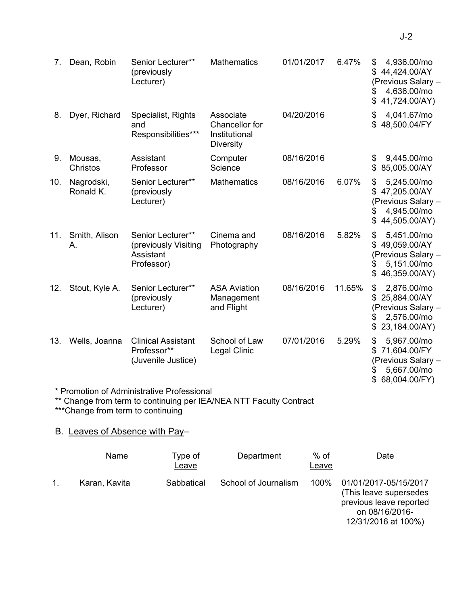| 7.  | Dean, Robin             | Senior Lecturer**<br>(previously<br>Lecturer)                        | Mathematics                                                      | 01/01/2017 | 6.47%  | 4,936.00/mo<br>\$<br>44,424.00/AY<br>\$.<br>(Previous Salary -<br>4,636.00/mo<br>\$<br>\$<br>41,724.00/AY) |
|-----|-------------------------|----------------------------------------------------------------------|------------------------------------------------------------------|------------|--------|------------------------------------------------------------------------------------------------------------|
| 8.  | Dyer, Richard           | Specialist, Rights<br>and<br>Responsibilities***                     | Associate<br>Chancellor for<br>Institutional<br><b>Diversity</b> | 04/20/2016 |        | 4,041.67/mo<br>\$<br>48,500.04/FY<br>\$.                                                                   |
| 9.  | Mousas,<br>Christos     | Assistant<br>Professor                                               | Computer<br>Science                                              | 08/16/2016 |        | 9,445.00/mo<br>\$.<br>85,005.00/AY<br>\$                                                                   |
| 10. | Nagrodski,<br>Ronald K. | Senior Lecturer**<br>(previously<br>Lecturer)                        | <b>Mathematics</b>                                               | 08/16/2016 | 6.07%  | \$<br>5,245.00/mo<br>\$47,205.00/AY<br>(Previous Salary -<br>4,945.00/mo<br>\$<br>\$44,505.00/AY)          |
| 11. | Smith, Alison<br>А.     | Senior Lecturer**<br>(previously Visiting<br>Assistant<br>Professor) | Cinema and<br>Photography                                        | 08/16/2016 | 5.82%  | 5,451.00/mo<br>\$<br>\$49,059.00/AY<br>(Previous Salary -<br>5,151.00/mo<br>\$<br>46,359.00/AY)            |
| 12. | Stout, Kyle A.          | Senior Lecturer**<br>(previously<br>Lecturer)                        | <b>ASA Aviation</b><br>Management<br>and Flight                  | 08/16/2016 | 11.65% | 2,876.00/mo<br>\$<br>\$25,884.00/AY<br>(Previous Salary -<br>2,576.00/mo<br>\$<br>23,184.00/AY)<br>\$      |
| 13. | Wells, Joanna           | <b>Clinical Assistant</b><br>Professor**<br>(Juvenile Justice)       | School of Law<br><b>Legal Clinic</b>                             | 07/01/2016 | 5.29%  | \$<br>5,967.00/mo<br>71,604.00/FY<br>(Previous Salary -<br>5,667.00/mo<br>S<br>68,004.00/FY)<br>\$         |
|     |                         | * Promotion of Administrative Professional                           |                                                                  |            |        |                                                                                                            |

\*\* Change from term to continuing per IEA/NEA NTT Faculty Contract

\*\*\*Change from term to continuing

# B. Leaves of Absence with Pay–

| Name          | <u>Type of</u><br>Leave | Department           | $%$ of<br>Leave | Date                                                                                                                 |
|---------------|-------------------------|----------------------|-----------------|----------------------------------------------------------------------------------------------------------------------|
| Karan, Kavita | Sabbatical              | School of Journalism | 100%            | 01/01/2017-05/15/2017<br>(This leave supersedes)<br>previous leave reported<br>on 08/16/2016-<br>12/31/2016 at 100%) |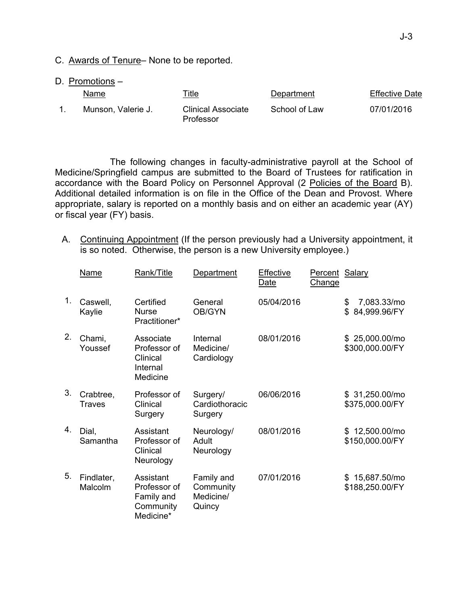- C. Awards of Tenure– None to be reported.
- D. Promotions –

| <b>Name</b>        | <u>Title</u>                           | Department    | <b>Effective Date</b> |
|--------------------|----------------------------------------|---------------|-----------------------|
| Munson, Valerie J. | <b>Clinical Associate</b><br>Professor | School of Law | 07/01/2016            |

The following changes in faculty-administrative payroll at the School of Medicine/Springfield campus are submitted to the Board of Trustees for ratification in accordance with the Board Policy on Personnel Approval (2 Policies of the Board B). Additional detailed information is on file in the Office of the Dean and Provost. Where appropriate, salary is reported on a monthly basis and on either an academic year (AY) or fiscal year (FY) basis.

A. Continuing Appointment (If the person previously had a University appointment, it is so noted. Otherwise, the person is a new University employee.)

|    | <b>Name</b>           | Rank/Title                                                        | Department                                     | Effective<br>Date | Percent Salary<br><b>Change</b> |                                     |
|----|-----------------------|-------------------------------------------------------------------|------------------------------------------------|-------------------|---------------------------------|-------------------------------------|
| 1. | Caswell,<br>Kaylie    | Certified<br><b>Nurse</b><br>Practitioner*                        | General<br>OB/GYN                              | 05/04/2016        |                                 | 7,083.33/mo<br>\$<br>\$84,999.96/FY |
| 2. | Chami,<br>Youssef     | Associate<br>Professor of<br>Clinical<br>Internal<br>Medicine     | Internal<br>Medicine/<br>Cardiology            | 08/01/2016        |                                 | \$25,000.00/mo<br>\$300,000.00/FY   |
| 3. | Crabtree,<br>Traves   | Professor of<br>Clinical<br>Surgery                               | Surgery/<br>Cardiothoracic<br>Surgery          | 06/06/2016        |                                 | \$31,250.00/m0<br>\$375,000.00/FY   |
| 4. | Dial,<br>Samantha     | Assistant<br>Professor of<br>Clinical<br>Neurology                | Neurology/<br>Adult<br>Neurology               | 08/01/2016        |                                 | \$12,500.00/mo<br>\$150,000.00/FY   |
| 5. | Findlater,<br>Malcolm | Assistant<br>Professor of<br>Family and<br>Community<br>Medicine* | Family and<br>Community<br>Medicine/<br>Quincy | 07/01/2016        |                                 | \$15,687.50/mo<br>\$188,250.00/FY   |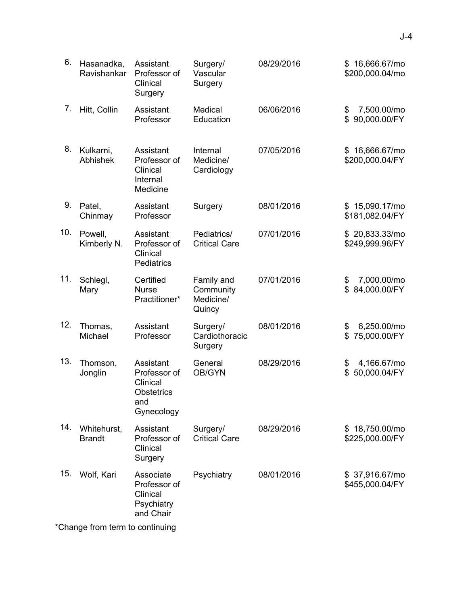| 6.  | Hasanadka,<br>Ravishankar      | Assistant<br>Professor of<br>Clinical<br>Surgery                         | Surgery/<br>Vascular<br>Surgery                | 08/29/2016 | \$16,666.67/mo<br>\$200,000.04/mo       |
|-----|--------------------------------|--------------------------------------------------------------------------|------------------------------------------------|------------|-----------------------------------------|
| 7.  | Hitt, Collin                   | Assistant<br>Professor                                                   | Medical<br>Education                           | 06/06/2016 | 7,500.00/mo<br>\$<br>90,000.00/FY<br>\$ |
| 8.  | Kulkarni,<br>Abhishek          | Assistant<br>Professor of<br>Clinical<br>Internal<br>Medicine            | Internal<br>Medicine/<br>Cardiology            | 07/05/2016 | \$16,666.67/mo<br>\$200,000.04/FY       |
| 9.  | Patel,<br>Chinmay              | Assistant<br>Professor                                                   | Surgery                                        | 08/01/2016 | \$15,090.17/mo<br>\$181,082.04/FY       |
| 10. | Powell,<br>Kimberly N.         | Assistant<br>Professor of<br>Clinical<br>Pediatrics                      | Pediatrics/<br><b>Critical Care</b>            | 07/01/2016 | \$20,833.33/mol<br>\$249,999.96/FY      |
| 11. | Schlegl,<br>Mary               | Certified<br><b>Nurse</b><br>Practitioner*                               | Family and<br>Community<br>Medicine/<br>Quincy | 07/01/2016 | 7,000.00/mo<br>\$<br>84,000.00/FY<br>\$ |
| 12. | Thomas,<br>Michael             | Assistant<br>Professor                                                   | Surgery/<br>Cardiothoracic<br>Surgery          | 08/01/2016 | \$<br>6,250.00/mo<br>75,000.00/FY<br>\$ |
| 13. | Thomson,<br>Jonglin            | Assistant<br>Professor of<br>Clinical<br>Obstetrics<br>and<br>Gynecology | General<br>OB/GYN                              | 08/29/2016 | 4,166.67/mo<br>\$<br>50,000.04/FY<br>\$ |
| 14. | Whitehurst,<br><b>Brandt</b>   | Assistant<br>Professor of<br>Clinical<br>Surgery                         | Surgery/<br><b>Critical Care</b>               | 08/29/2016 | \$18,750.00/mo<br>\$225,000.00/FY       |
| 15. | Wolf, Kari                     | Associate<br>Professor of<br>Clinical<br>Psychiatry<br>and Chair         | Psychiatry                                     | 08/01/2016 | \$37,916.67/mo<br>\$455,000.04/FY       |
|     | Chango from torm to continuing |                                                                          |                                                |            |                                         |

\*Change from term to continuing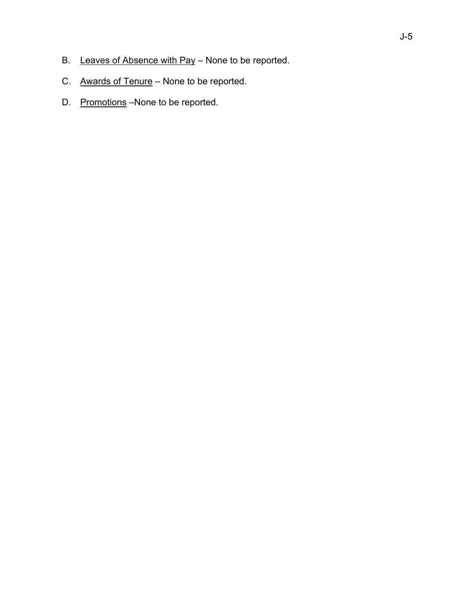- B. Leaves of Absence with Pay None to be reported.
- C. Awards of Tenure None to be reported.
- D. Promotions –None to be reported.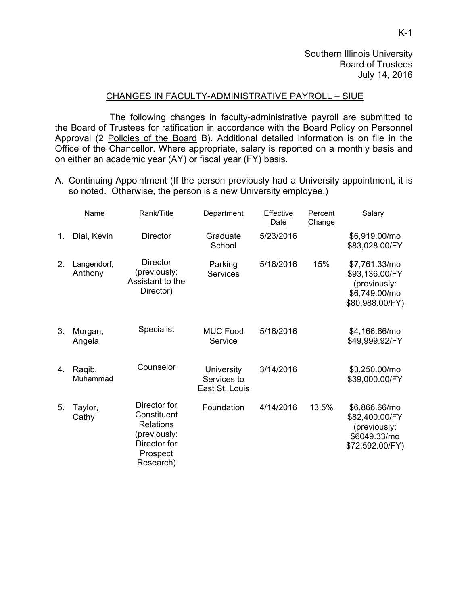#### CHANGES IN FACULTY-ADMINISTRATIVE PAYROLL – SIUE

 The following changes in faculty-administrative payroll are submitted to the Board of Trustees for ratification in accordance with the Board Policy on Personnel Approval (2 Policies of the Board B). Additional detailed information is on file in the Office of the Chancellor. Where appropriate, salary is reported on a monthly basis and on either an academic year (AY) or fiscal year (FY) basis.

A. Continuing Appointment (If the person previously had a University appointment, it is so noted. Otherwise, the person is a new University employee.)

|                | <b>Name</b>            | Rank/Title                                                                                               | Department                                         | Effective<br>Date | Percent<br>Change | Salary                                                                              |
|----------------|------------------------|----------------------------------------------------------------------------------------------------------|----------------------------------------------------|-------------------|-------------------|-------------------------------------------------------------------------------------|
| 1.             | Dial, Kevin            | <b>Director</b>                                                                                          | Graduate<br>School                                 | 5/23/2016         |                   | \$6,919.00/mo<br>\$83,028.00/FY                                                     |
| 2 <sub>1</sub> | Langendorf,<br>Anthony | <b>Director</b><br>(previously:<br>Assistant to the<br>Director)                                         | Parking<br><b>Services</b>                         | 5/16/2016         | 15%               | \$7,761.33/mo<br>\$93,136.00/FY<br>(previously:<br>\$6,749.00/mo<br>\$80,988.00/FY) |
| 3.             | Morgan,<br>Angela      | Specialist                                                                                               | <b>MUC Food</b><br>Service                         | 5/16/2016         |                   | \$4,166.66/mo<br>\$49,999.92/FY                                                     |
| 4.             | Ragib,<br>Muhammad     | Counselor                                                                                                | <b>University</b><br>Services to<br>East St. Louis | 3/14/2016         |                   | \$3,250.00/mo<br>\$39,000.00/FY                                                     |
| 5.             | Taylor,<br>Cathy       | Director for<br>Constituent<br><b>Relations</b><br>(previously:<br>Director for<br>Prospect<br>Research) | Foundation                                         | 4/14/2016         | 13.5%             | \$6,866.66/mo<br>\$82,400.00/FY<br>(previously:<br>\$6049.33/mo<br>\$72,592.00/FY)  |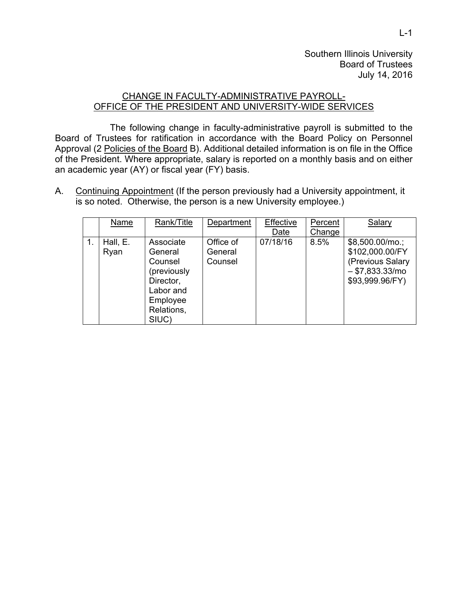# CHANGE IN FACULTY-ADMINISTRATIVE PAYROLL-OFFICE OF THE PRESIDENT AND UNIVERSITY-WIDE SERVICES

 The following change in faculty-administrative payroll is submitted to the Board of Trustees for ratification in accordance with the Board Policy on Personnel Approval (2 Policies of the Board B). Additional detailed information is on file in the Office of the President. Where appropriate, salary is reported on a monthly basis and on either an academic year (AY) or fiscal year (FY) basis.

A. Continuing Appointment (If the person previously had a University appointment, it is so noted. Otherwise, the person is a new University employee.)

| Name             | Rank/Title                                                                                                  | Department                      | Effective<br>Date | Percent<br>Change | Salary                                                                                         |
|------------------|-------------------------------------------------------------------------------------------------------------|---------------------------------|-------------------|-------------------|------------------------------------------------------------------------------------------------|
| Hall, E.<br>Ryan | Associate<br>General<br>Counsel<br>(previously<br>Director,<br>Labor and<br>Employee<br>Relations,<br>SIUC) | Office of<br>General<br>Counsel | 07/18/16          | 8.5%              | \$8,500.00/mo.;<br>\$102,000.00/FY<br>(Previous Salary<br>$- $7,833.33/mol$<br>\$93,999.96/FY) |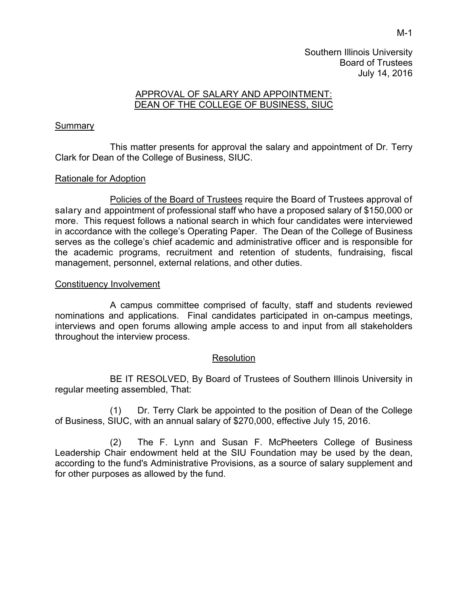# APPROVAL OF SALARY AND APPOINTMENT: DEAN OF THE COLLEGE OF BUSINESS, SIUC

# **Summary**

This matter presents for approval the salary and appointment of Dr. Terry Clark for Dean of the College of Business, SIUC.

# Rationale for Adoption

Policies of the Board of Trustees require the Board of Trustees approval of salary and appointment of professional staff who have a proposed salary of \$150,000 or more. This request follows a national search in which four candidates were interviewed in accordance with the college's Operating Paper. The Dean of the College of Business serves as the college's chief academic and administrative officer and is responsible for the academic programs, recruitment and retention of students, fundraising, fiscal management, personnel, external relations, and other duties.

#### Constituency Involvement

 A campus committee comprised of faculty, staff and students reviewed nominations and applications. Final candidates participated in on-campus meetings, interviews and open forums allowing ample access to and input from all stakeholders throughout the interview process.

#### **Resolution**

 BE IT RESOLVED, By Board of Trustees of Southern Illinois University in regular meeting assembled, That:

(1) Dr. Terry Clark be appointed to the position of Dean of the College of Business, SIUC, with an annual salary of \$270,000, effective July 15, 2016.

(2) The F. Lynn and Susan F. McPheeters College of Business Leadership Chair endowment held at the SIU Foundation may be used by the dean, according to the fund's Administrative Provisions, as a source of salary supplement and for other purposes as allowed by the fund.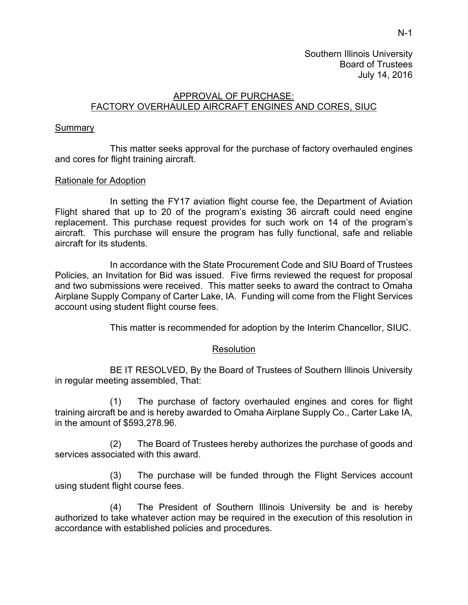# APPROVAL OF PURCHASE: FACTORY OVERHAULED AIRCRAFT ENGINES AND CORES, SIUC

# Summary

This matter seeks approval for the purchase of factory overhauled engines and cores for flight training aircraft.

# Rationale for Adoption

In setting the FY17 aviation flight course fee, the Department of Aviation Flight shared that up to 20 of the program's existing 36 aircraft could need engine replacement. This purchase request provides for such work on 14 of the program's aircraft. This purchase will ensure the program has fully functional, safe and reliable aircraft for its students.

In accordance with the State Procurement Code and SIU Board of Trustees Policies, an Invitation for Bid was issued. Five firms reviewed the request for proposal and two submissions were received. This matter seeks to award the contract to Omaha Airplane Supply Company of Carter Lake, IA. Funding will come from the Flight Services account using student flight course fees.

This matter is recommended for adoption by the Interim Chancellor, SIUC.

# Resolution

BE IT RESOLVED, By the Board of Trustees of Southern Illinois University in regular meeting assembled, That:

(1) The purchase of factory overhauled engines and cores for flight training aircraft be and is hereby awarded to Omaha Airplane Supply Co., Carter Lake IA, in the amount of \$593,278.96.

(2) The Board of Trustees hereby authorizes the purchase of goods and services associated with this award.

(3) The purchase will be funded through the Flight Services account using student flight course fees.

(4) The President of Southern Illinois University be and is hereby authorized to take whatever action may be required in the execution of this resolution in accordance with established policies and procedures.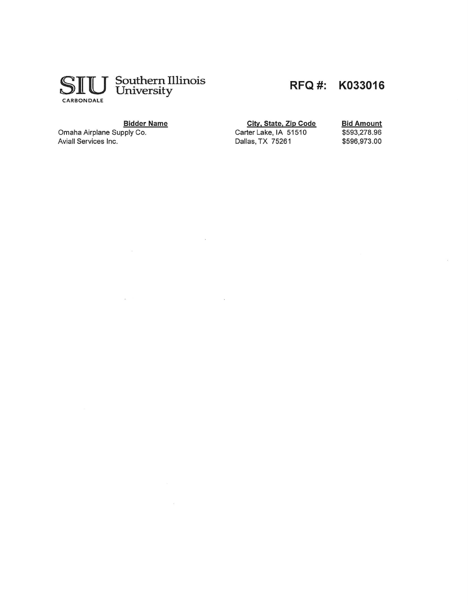

# RFQ #: K033016

#### **Bidder Name**

 $\alpha$ 

 $\sim$ 

Omaha Airplane Supply Co.<br>Aviall Services Inc.

 $\sim$ 

City, State, Zip Code Carter Lake, IA 51510 Dallas, TX 75261

**Bid Amount** \$593,278.96 \$596,973.00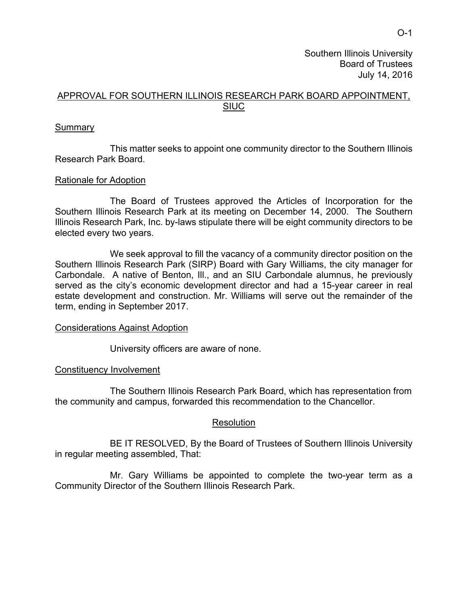# APPROVAL FOR SOUTHERN ILLINOIS RESEARCH PARK BOARD APPOINTMENT, SIUC

# Summary

 This matter seeks to appoint one community director to the Southern Illinois Research Park Board.

# Rationale for Adoption

 The Board of Trustees approved the Articles of Incorporation for the Southern Illinois Research Park at its meeting on December 14, 2000. The Southern Illinois Research Park, Inc. by-laws stipulate there will be eight community directors to be elected every two years.

We seek approval to fill the vacancy of a community director position on the Southern Illinois Research Park (SIRP) Board with Gary Williams, the city manager for Carbondale. A native of Benton, Ill., and an SIU Carbondale alumnus, he previously served as the city's economic development director and had a 15-year career in real estate development and construction. Mr. Williams will serve out the remainder of the term, ending in September 2017.

#### Considerations Against Adoption

University officers are aware of none.

# Constituency Involvement

The Southern Illinois Research Park Board, which has representation from the community and campus, forwarded this recommendation to the Chancellor.

#### **Resolution**

BE IT RESOLVED, By the Board of Trustees of Southern Illinois University in regular meeting assembled, That:

Mr. Gary Williams be appointed to complete the two-year term as a Community Director of the Southern Illinois Research Park.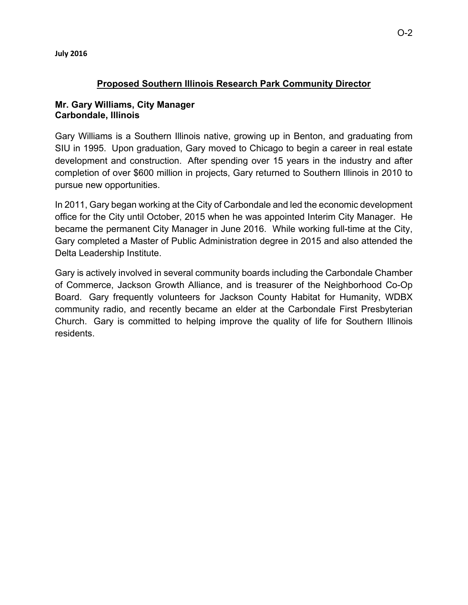# **Proposed Southern Illinois Research Park Community Director**

# **Mr. Gary Williams, City Manager Carbondale, Illinois**

Gary Williams is a Southern Illinois native, growing up in Benton, and graduating from SIU in 1995. Upon graduation, Gary moved to Chicago to begin a career in real estate development and construction. After spending over 15 years in the industry and after completion of over \$600 million in projects, Gary returned to Southern Illinois in 2010 to pursue new opportunities.

In 2011, Gary began working at the City of Carbondale and led the economic development office for the City until October, 2015 when he was appointed Interim City Manager. He became the permanent City Manager in June 2016. While working full-time at the City, Gary completed a Master of Public Administration degree in 2015 and also attended the Delta Leadership Institute.

Gary is actively involved in several community boards including the Carbondale Chamber of Commerce, Jackson Growth Alliance, and is treasurer of the Neighborhood Co-Op Board. Gary frequently volunteers for Jackson County Habitat for Humanity, WDBX community radio, and recently became an elder at the Carbondale First Presbyterian Church. Gary is committed to helping improve the quality of life for Southern Illinois residents.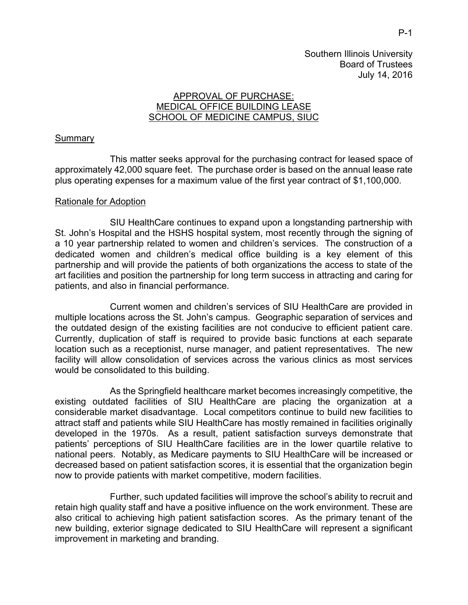# APPROVAL OF PURCHASE: MEDICAL OFFICE BUILDING LEASE SCHOOL OF MEDICINE CAMPUS, SIUC

# **Summary**

This matter seeks approval for the purchasing contract for leased space of approximately 42,000 square feet. The purchase order is based on the annual lease rate plus operating expenses for a maximum value of the first year contract of \$1,100,000.

#### Rationale for Adoption

SIU HealthCare continues to expand upon a longstanding partnership with St. John's Hospital and the HSHS hospital system, most recently through the signing of a 10 year partnership related to women and children's services. The construction of a dedicated women and children's medical office building is a key element of this partnership and will provide the patients of both organizations the access to state of the art facilities and position the partnership for long term success in attracting and caring for patients, and also in financial performance.

Current women and children's services of SIU HealthCare are provided in multiple locations across the St. John's campus. Geographic separation of services and the outdated design of the existing facilities are not conducive to efficient patient care. Currently, duplication of staff is required to provide basic functions at each separate location such as a receptionist, nurse manager, and patient representatives. The new facility will allow consolidation of services across the various clinics as most services would be consolidated to this building.

As the Springfield healthcare market becomes increasingly competitive, the existing outdated facilities of SIU HealthCare are placing the organization at a considerable market disadvantage. Local competitors continue to build new facilities to attract staff and patients while SIU HealthCare has mostly remained in facilities originally developed in the 1970s. As a result, patient satisfaction surveys demonstrate that patients' perceptions of SIU HealthCare facilities are in the lower quartile relative to national peers. Notably, as Medicare payments to SIU HealthCare will be increased or decreased based on patient satisfaction scores, it is essential that the organization begin now to provide patients with market competitive, modern facilities.

Further, such updated facilities will improve the school's ability to recruit and retain high quality staff and have a positive influence on the work environment. These are also critical to achieving high patient satisfaction scores. As the primary tenant of the new building, exterior signage dedicated to SIU HealthCare will represent a significant improvement in marketing and branding.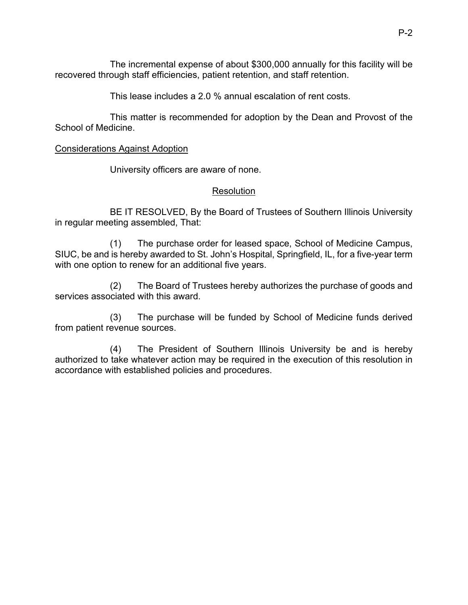The incremental expense of about \$300,000 annually for this facility will be recovered through staff efficiencies, patient retention, and staff retention.

This lease includes a 2.0 % annual escalation of rent costs.

This matter is recommended for adoption by the Dean and Provost of the School of Medicine.

# Considerations Against Adoption

University officers are aware of none.

# Resolution

BE IT RESOLVED, By the Board of Trustees of Southern Illinois University in regular meeting assembled, That:

(1) The purchase order for leased space, School of Medicine Campus, SIUC, be and is hereby awarded to St. John's Hospital, Springfield, IL, for a five-year term with one option to renew for an additional five years.

(2) The Board of Trustees hereby authorizes the purchase of goods and services associated with this award.

(3) The purchase will be funded by School of Medicine funds derived from patient revenue sources.

(4) The President of Southern Illinois University be and is hereby authorized to take whatever action may be required in the execution of this resolution in accordance with established policies and procedures.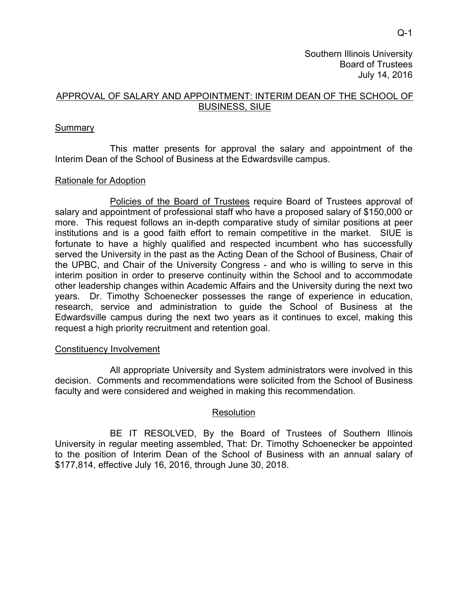# APPROVAL OF SALARY AND APPOINTMENT: INTERIM DEAN OF THE SCHOOL OF BUSINESS, SIUE

# **Summary**

 This matter presents for approval the salary and appointment of the Interim Dean of the School of Business at the Edwardsville campus.

# Rationale for Adoption

 Policies of the Board of Trustees require Board of Trustees approval of salary and appointment of professional staff who have a proposed salary of \$150,000 or more. This request follows an in-depth comparative study of similar positions at peer institutions and is a good faith effort to remain competitive in the market. SIUE is fortunate to have a highly qualified and respected incumbent who has successfully served the University in the past as the Acting Dean of the School of Business, Chair of the UPBC, and Chair of the University Congress - and who is willing to serve in this interim position in order to preserve continuity within the School and to accommodate other leadership changes within Academic Affairs and the University during the next two years. Dr. Timothy Schoenecker possesses the range of experience in education, research, service and administration to guide the School of Business at the Edwardsville campus during the next two years as it continues to excel, making this request a high priority recruitment and retention goal.

#### Constituency Involvement

 All appropriate University and System administrators were involved in this decision. Comments and recommendations were solicited from the School of Business faculty and were considered and weighed in making this recommendation.

#### **Resolution**

 BE IT RESOLVED, By the Board of Trustees of Southern Illinois University in regular meeting assembled, That: Dr. Timothy Schoenecker be appointed to the position of Interim Dean of the School of Business with an annual salary of \$177,814, effective July 16, 2016, through June 30, 2018.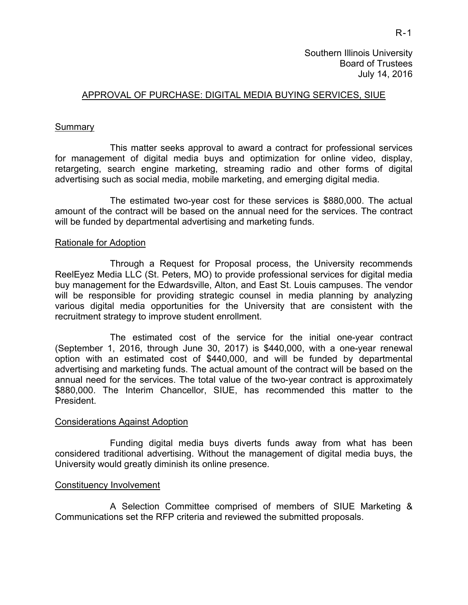#### APPROVAL OF PURCHASE: DIGITAL MEDIA BUYING SERVICES, SIUE

#### **Summary**

This matter seeks approval to award a contract for professional services for management of digital media buys and optimization for online video, display, retargeting, search engine marketing, streaming radio and other forms of digital advertising such as social media, mobile marketing, and emerging digital media.

The estimated two-year cost for these services is \$880,000. The actual amount of the contract will be based on the annual need for the services. The contract will be funded by departmental advertising and marketing funds.

#### Rationale for Adoption

Through a Request for Proposal process, the University recommends ReelEyez Media LLC (St. Peters, MO) to provide professional services for digital media buy management for the Edwardsville, Alton, and East St. Louis campuses. The vendor will be responsible for providing strategic counsel in media planning by analyzing various digital media opportunities for the University that are consistent with the recruitment strategy to improve student enrollment.

The estimated cost of the service for the initial one-year contract (September 1, 2016, through June 30, 2017) is \$440,000, with a one-year renewal option with an estimated cost of \$440,000, and will be funded by departmental advertising and marketing funds. The actual amount of the contract will be based on the annual need for the services. The total value of the two-year contract is approximately \$880,000. The Interim Chancellor, SIUE, has recommended this matter to the President.

#### Considerations Against Adoption

 Funding digital media buys diverts funds away from what has been considered traditional advertising. Without the management of digital media buys, the University would greatly diminish its online presence.

#### Constituency Involvement

A Selection Committee comprised of members of SIUE Marketing & Communications set the RFP criteria and reviewed the submitted proposals.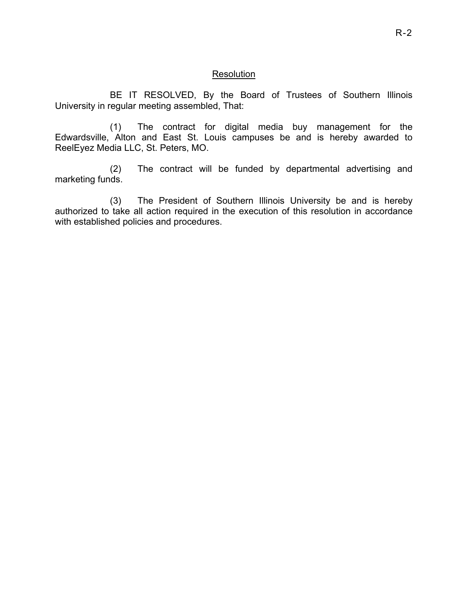#### **Resolution**

 BE IT RESOLVED, By the Board of Trustees of Southern Illinois University in regular meeting assembled, That:

(1) The contract for digital media buy management for the Edwardsville, Alton and East St. Louis campuses be and is hereby awarded to ReelEyez Media LLC, St. Peters, MO.

(2) The contract will be funded by departmental advertising and marketing funds.

(3) The President of Southern Illinois University be and is hereby authorized to take all action required in the execution of this resolution in accordance with established policies and procedures.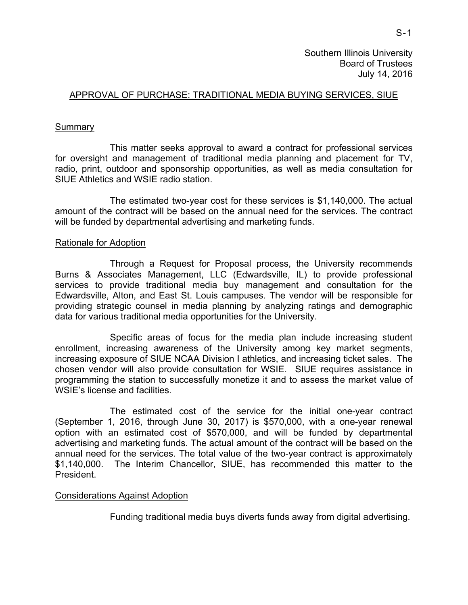# APPROVAL OF PURCHASE: TRADITIONAL MEDIA BUYING SERVICES, SIUE

#### Summary

This matter seeks approval to award a contract for professional services for oversight and management of traditional media planning and placement for TV, radio, print, outdoor and sponsorship opportunities, as well as media consultation for SIUE Athletics and WSIE radio station.

The estimated two-year cost for these services is \$1,140,000. The actual amount of the contract will be based on the annual need for the services. The contract will be funded by departmental advertising and marketing funds.

#### Rationale for Adoption

Through a Request for Proposal process, the University recommends Burns & Associates Management, LLC (Edwardsville, IL) to provide professional services to provide traditional media buy management and consultation for the Edwardsville, Alton, and East St. Louis campuses. The vendor will be responsible for providing strategic counsel in media planning by analyzing ratings and demographic data for various traditional media opportunities for the University.

Specific areas of focus for the media plan include increasing student enrollment, increasing awareness of the University among key market segments, increasing exposure of SIUE NCAA Division I athletics, and increasing ticket sales. The chosen vendor will also provide consultation for WSIE. SIUE requires assistance in programming the station to successfully monetize it and to assess the market value of WSIE's license and facilities.

The estimated cost of the service for the initial one-year contract (September 1, 2016, through June 30, 2017) is \$570,000, with a one-year renewal option with an estimated cost of \$570,000, and will be funded by departmental advertising and marketing funds. The actual amount of the contract will be based on the annual need for the services. The total value of the two-year contract is approximately \$1,140,000. The Interim Chancellor, SIUE, has recommended this matter to the President.

#### Considerations Against Adoption

Funding traditional media buys diverts funds away from digital advertising.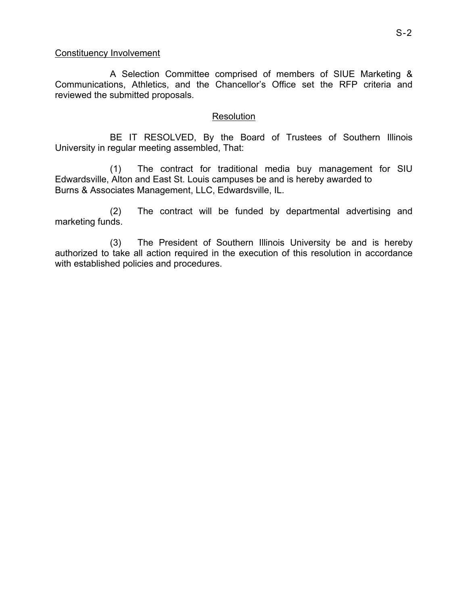#### Constituency Involvement

A Selection Committee comprised of members of SIUE Marketing & Communications, Athletics, and the Chancellor's Office set the RFP criteria and reviewed the submitted proposals.

# Resolution

 BE IT RESOLVED, By the Board of Trustees of Southern Illinois University in regular meeting assembled, That:

(1) The contract for traditional media buy management for SIU Edwardsville, Alton and East St. Louis campuses be and is hereby awarded to Burns & Associates Management, LLC, Edwardsville, IL.

(2) The contract will be funded by departmental advertising and marketing funds.

(3) The President of Southern Illinois University be and is hereby authorized to take all action required in the execution of this resolution in accordance with established policies and procedures.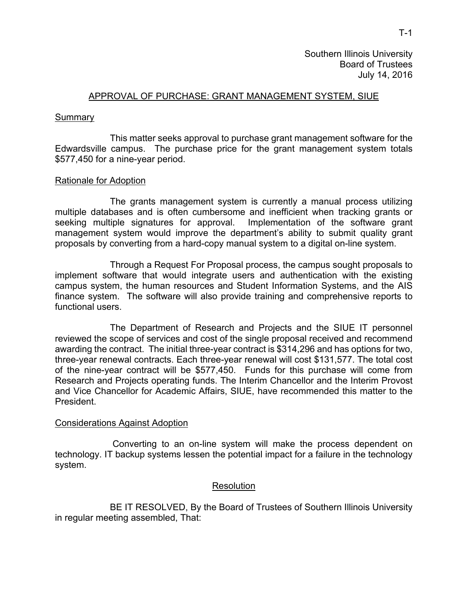# APPROVAL OF PURCHASE: GRANT MANAGEMENT SYSTEM, SIUE

#### **Summary**

This matter seeks approval to purchase grant management software for the Edwardsville campus. The purchase price for the grant management system totals \$577,450 for a nine-year period.

#### Rationale for Adoption

The grants management system is currently a manual process utilizing multiple databases and is often cumbersome and inefficient when tracking grants or seeking multiple signatures for approval. Implementation of the software grant management system would improve the department's ability to submit quality grant proposals by converting from a hard-copy manual system to a digital on-line system.

Through a Request For Proposal process, the campus sought proposals to implement software that would integrate users and authentication with the existing campus system, the human resources and Student Information Systems, and the AIS finance system. The software will also provide training and comprehensive reports to functional users.

The Department of Research and Projects and the SIUE IT personnel reviewed the scope of services and cost of the single proposal received and recommend awarding the contract. The initial three-year contract is \$314,296 and has options for two, three-year renewal contracts. Each three-year renewal will cost \$131,577. The total cost of the nine-year contract will be \$577,450. Funds for this purchase will come from Research and Projects operating funds. The Interim Chancellor and the Interim Provost and Vice Chancellor for Academic Affairs, SIUE, have recommended this matter to the President.

#### Considerations Against Adoption

 Converting to an on-line system will make the process dependent on technology. IT backup systems lessen the potential impact for a failure in the technology system.

#### Resolution

BE IT RESOLVED, By the Board of Trustees of Southern Illinois University in regular meeting assembled, That: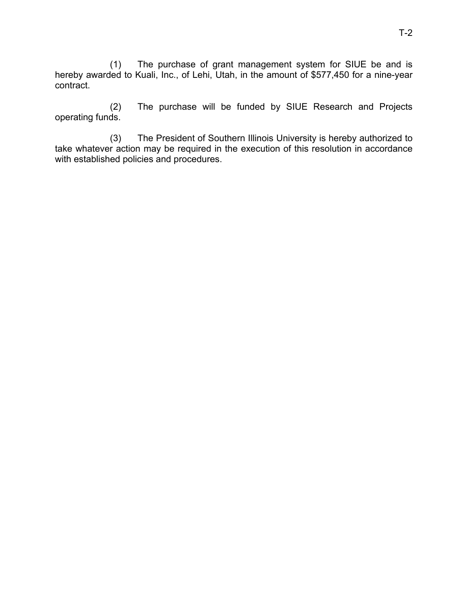(1) The purchase of grant management system for SIUE be and is hereby awarded to Kuali, Inc., of Lehi, Utah, in the amount of \$577,450 for a nine-year contract.

(2) The purchase will be funded by SIUE Research and Projects operating funds.

(3) The President of Southern Illinois University is hereby authorized to take whatever action may be required in the execution of this resolution in accordance with established policies and procedures.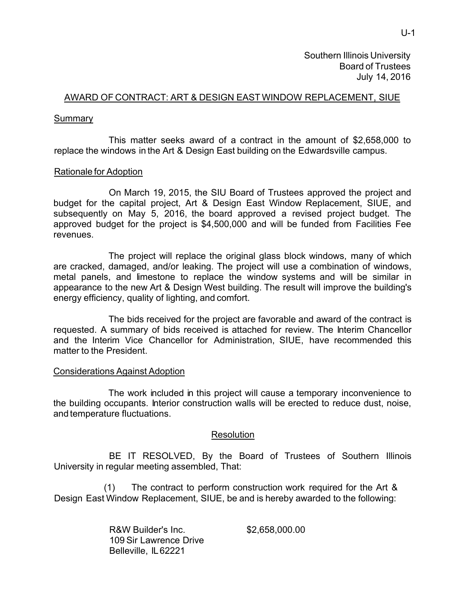# AWARD OF CONTRACT: ART & DESIGN EAST WINDOW REPLACEMENT, SIUE

## Summary

This matter seeks award of a contract in the amount of \$2,658,000 to replace the windows in the Art & Design East building on the Edwardsville campus.

# Rationale for Adoption

On March 19, 2015, the SIU Board of Trustees approved the project and budget for the capital project, Art & Design East Window Replacement, SIUE, and subsequently on May 5, 2016, the board approved a revised project budget. The approved budget for the project is \$4,500,000 and will be funded from Facilities Fee revenues.

The project will replace the original glass block windows, many of which are cracked, damaged, and/or leaking. The project will use a combination of windows, metal panels, and limestone to replace the window systems and will be similar in appearance to the new Art & Design West building. The result will improve the building's energy efficiency, quality of lighting, and comfort.

The bids received for the project are favorable and award of the contract is requested. A summary of bids received is attached for review. The Interim Chancellor and the Interim Vice Chancellor for Administration, SIUE, have recommended this matter to the President.

#### Considerations Against Adoption

The work included in this project will cause a temporary inconvenience to the building occupants. Interior construction walls will be erected to reduce dust, noise, and temperature fluctuations.

# **Resolution**

BE IT RESOLVED, By the Board of Trustees of Southern Illinois University in regular meeting assembled, That:

(1) The contract to perform construction work required for the Art & Design East Window Replacement, SIUE, be and is hereby awarded to the following:

> R&W Builder's Inc. 109 Sir Lawrence Drive Belleville, IL 62221

\$2,658,000.00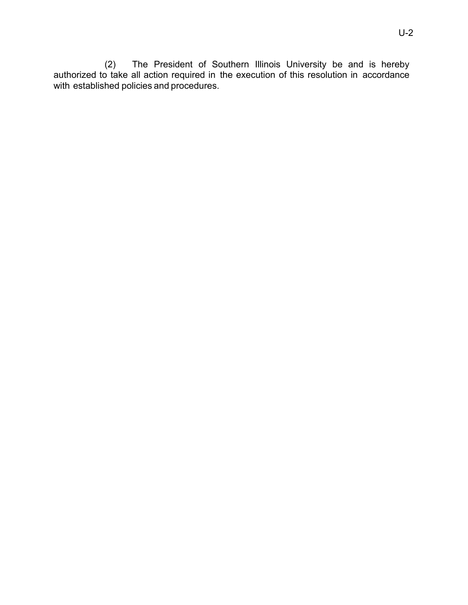(2) The President of Southern Illinois University be and is hereby authorized to take all action required in the execution of this resolution in accordance with established policies and procedures.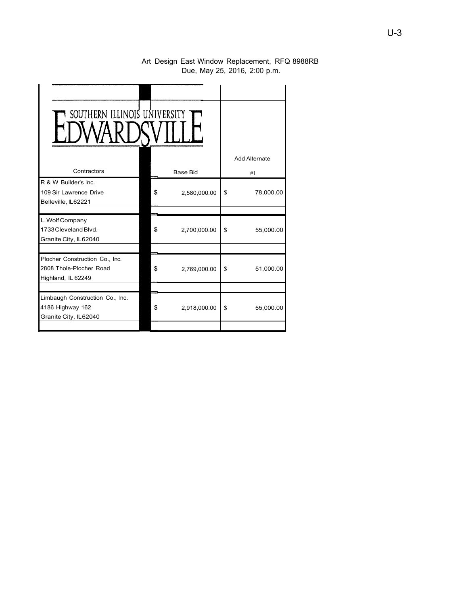#### Art Design East Window Replacement, RFQ 8988RB Due, May 25, 2016, 2:00 p.m.

| SOUTHERN ILLINOIS UNIVERSITY                                                    |    |                 |    |                      |
|---------------------------------------------------------------------------------|----|-----------------|----|----------------------|
|                                                                                 |    |                 |    | <b>Add Alternate</b> |
| Contractors                                                                     |    | <b>Base Bid</b> |    | #1                   |
| R & W Builder's Inc.<br>109 Sir Lawrence Drive<br>Belleville, IL62221           | \$ | 2,580,000.00    | \$ | 78,000.00            |
|                                                                                 |    |                 |    |                      |
| L. Wolf Company<br>1733 Cleveland Blvd.<br>Granite City, IL62040                | \$ | 2,700,000.00    | \$ | 55,000.00            |
|                                                                                 |    |                 |    |                      |
| Plocher Construction Co., Inc.<br>2808 Thole-Plocher Road<br>Highland, IL 62249 | \$ | 2,769,000.00    | S  | 51,000.00            |
|                                                                                 |    |                 |    |                      |
| Limbaugh Construction Co., Inc.<br>4186 Highway 162<br>Granite City, IL62040    | \$ | 2,918,000.00    | \$ | 55,000.00            |
|                                                                                 |    |                 |    |                      |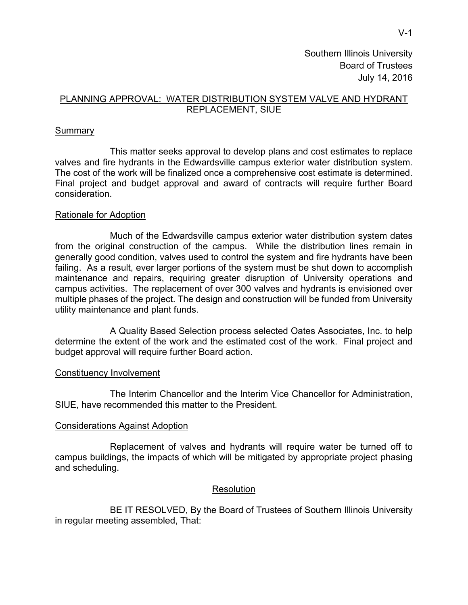# PLANNING APPROVAL: WATER DISTRIBUTION SYSTEM VALVE AND HYDRANT REPLACEMENT, SIUE

# **Summary**

 This matter seeks approval to develop plans and cost estimates to replace valves and fire hydrants in the Edwardsville campus exterior water distribution system. The cost of the work will be finalized once a comprehensive cost estimate is determined. Final project and budget approval and award of contracts will require further Board consideration.

#### Rationale for Adoption

 Much of the Edwardsville campus exterior water distribution system dates from the original construction of the campus. While the distribution lines remain in generally good condition, valves used to control the system and fire hydrants have been failing. As a result, ever larger portions of the system must be shut down to accomplish maintenance and repairs, requiring greater disruption of University operations and campus activities. The replacement of over 300 valves and hydrants is envisioned over multiple phases of the project. The design and construction will be funded from University utility maintenance and plant funds.

 A Quality Based Selection process selected Oates Associates, Inc. to help determine the extent of the work and the estimated cost of the work. Final project and budget approval will require further Board action.

#### Constituency Involvement

 The Interim Chancellor and the Interim Vice Chancellor for Administration, SIUE, have recommended this matter to the President.

#### Considerations Against Adoption

 Replacement of valves and hydrants will require water be turned off to campus buildings, the impacts of which will be mitigated by appropriate project phasing and scheduling.

# Resolution

 BE IT RESOLVED, By the Board of Trustees of Southern Illinois University in regular meeting assembled, That: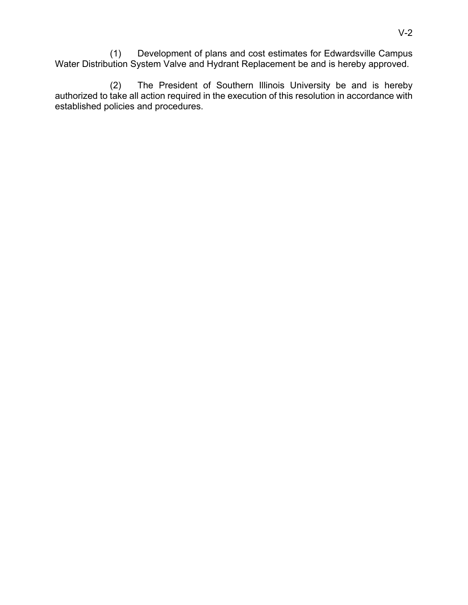(1) Development of plans and cost estimates for Edwardsville Campus Water Distribution System Valve and Hydrant Replacement be and is hereby approved.

 (2) The President of Southern Illinois University be and is hereby authorized to take all action required in the execution of this resolution in accordance with established policies and procedures.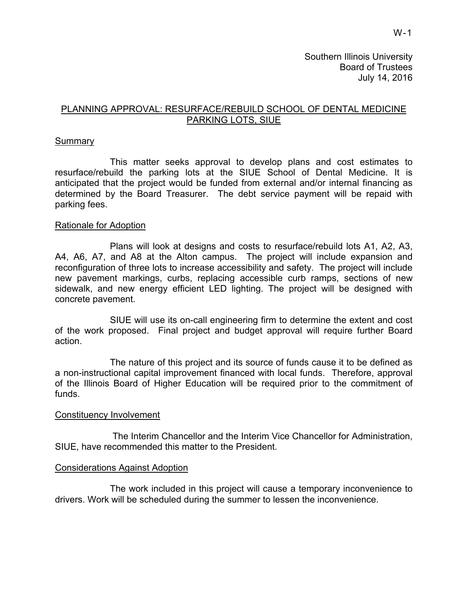# PLANNING APPROVAL: RESURFACE/REBUILD SCHOOL OF DENTAL MEDICINE PARKING LOTS, SIUE

#### **Summary**

This matter seeks approval to develop plans and cost estimates to resurface/rebuild the parking lots at the SIUE School of Dental Medicine. It is anticipated that the project would be funded from external and/or internal financing as determined by the Board Treasurer. The debt service payment will be repaid with parking fees.

#### Rationale for Adoption

Plans will look at designs and costs to resurface/rebuild lots A1, A2, A3, A4, A6, A7, and A8 at the Alton campus. The project will include expansion and reconfiguration of three lots to increase accessibility and safety. The project will include new pavement markings, curbs, replacing accessible curb ramps, sections of new sidewalk, and new energy efficient LED lighting. The project will be designed with concrete pavement.

SIUE will use its on-call engineering firm to determine the extent and cost of the work proposed. Final project and budget approval will require further Board action.

The nature of this project and its source of funds cause it to be defined as a non-instructional capital improvement financed with local funds. Therefore, approval of the Illinois Board of Higher Education will be required prior to the commitment of funds.

#### Constituency Involvement

 The Interim Chancellor and the Interim Vice Chancellor for Administration, SIUE, have recommended this matter to the President.

#### Considerations Against Adoption

 The work included in this project will cause a temporary inconvenience to drivers. Work will be scheduled during the summer to lessen the inconvenience.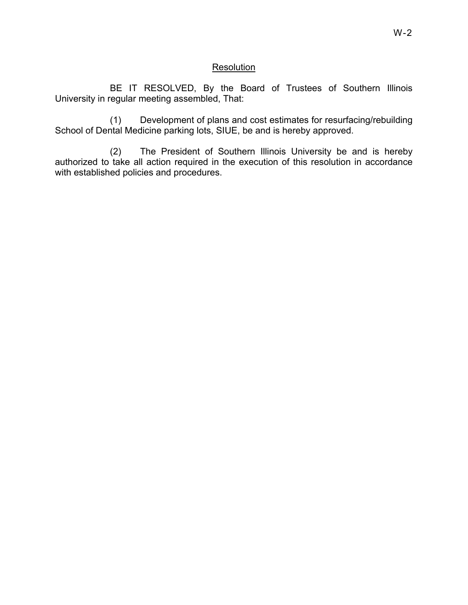# Resolution

 BE IT RESOLVED, By the Board of Trustees of Southern Illinois University in regular meeting assembled, That:

(1) Development of plans and cost estimates for resurfacing/rebuilding School of Dental Medicine parking lots, SIUE, be and is hereby approved.

(2) The President of Southern Illinois University be and is hereby authorized to take all action required in the execution of this resolution in accordance with established policies and procedures.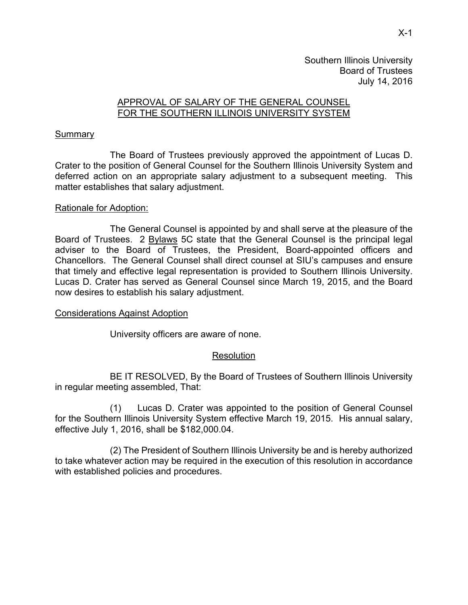# APPROVAL OF SALARY OF THE GENERAL COUNSEL FOR THE SOUTHERN ILLINOIS UNIVERSITY SYSTEM

## **Summary**

 The Board of Trustees previously approved the appointment of Lucas D. Crater to the position of General Counsel for the Southern Illinois University System and deferred action on an appropriate salary adjustment to a subsequent meeting. This matter establishes that salary adjustment.

# Rationale for Adoption:

 The General Counsel is appointed by and shall serve at the pleasure of the Board of Trustees. 2 Bylaws 5C state that the General Counsel is the principal legal adviser to the Board of Trustees, the President, Board-appointed officers and Chancellors. The General Counsel shall direct counsel at SIU's campuses and ensure that timely and effective legal representation is provided to Southern Illinois University. Lucas D. Crater has served as General Counsel since March 19, 2015, and the Board now desires to establish his salary adjustment.

# Considerations Against Adoption

University officers are aware of none.

# Resolution

BE IT RESOLVED, By the Board of Trustees of Southern Illinois University in regular meeting assembled, That:

(1) Lucas D. Crater was appointed to the position of General Counsel for the Southern Illinois University System effective March 19, 2015. His annual salary, effective July 1, 2016, shall be \$182,000.04.

 (2) The President of Southern Illinois University be and is hereby authorized to take whatever action may be required in the execution of this resolution in accordance with established policies and procedures.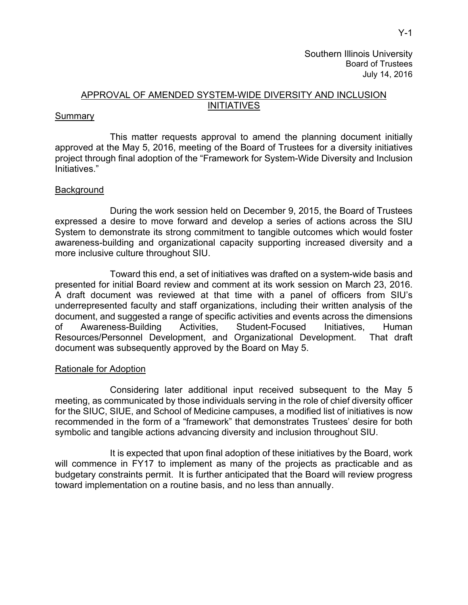# APPROVAL OF AMENDED SYSTEM-WIDE DIVERSITY AND INCLUSION INITIATIVES

#### **Summary**

This matter requests approval to amend the planning document initially approved at the May 5, 2016, meeting of the Board of Trustees for a diversity initiatives project through final adoption of the "Framework for System-Wide Diversity and Inclusion Initiatives."

#### **Background**

During the work session held on December 9, 2015, the Board of Trustees expressed a desire to move forward and develop a series of actions across the SIU System to demonstrate its strong commitment to tangible outcomes which would foster awareness-building and organizational capacity supporting increased diversity and a more inclusive culture throughout SIU.

Toward this end, a set of initiatives was drafted on a system-wide basis and presented for initial Board review and comment at its work session on March 23, 2016. A draft document was reviewed at that time with a panel of officers from SIU's underrepresented faculty and staff organizations, including their written analysis of the document, and suggested a range of specific activities and events across the dimensions of Awareness-Building Activities, Student-Focused Initiatives, Human Resources/Personnel Development, and Organizational Development. That draft document was subsequently approved by the Board on May 5.

#### Rationale for Adoption

Considering later additional input received subsequent to the May 5 meeting, as communicated by those individuals serving in the role of chief diversity officer for the SIUC, SIUE, and School of Medicine campuses, a modified list of initiatives is now recommended in the form of a "framework" that demonstrates Trustees' desire for both symbolic and tangible actions advancing diversity and inclusion throughout SIU.

It is expected that upon final adoption of these initiatives by the Board, work will commence in FY17 to implement as many of the projects as practicable and as budgetary constraints permit. It is further anticipated that the Board will review progress toward implementation on a routine basis, and no less than annually.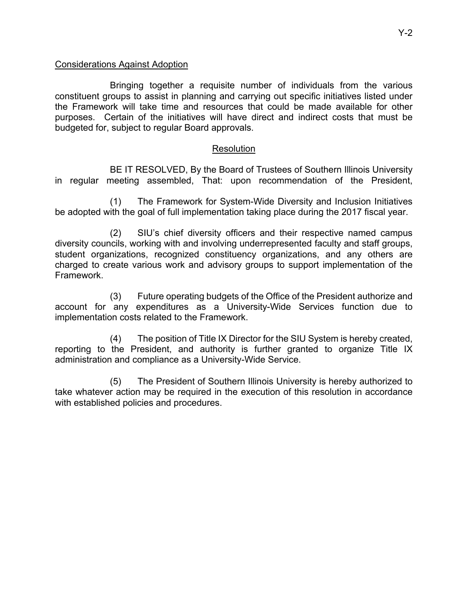# Considerations Against Adoption

Bringing together a requisite number of individuals from the various constituent groups to assist in planning and carrying out specific initiatives listed under the Framework will take time and resources that could be made available for other purposes. Certain of the initiatives will have direct and indirect costs that must be budgeted for, subject to regular Board approvals.

# Resolution

 BE IT RESOLVED, By the Board of Trustees of Southern Illinois University in regular meeting assembled, That: upon recommendation of the President,

(1) The Framework for System-Wide Diversity and Inclusion Initiatives be adopted with the goal of full implementation taking place during the 2017 fiscal year.

(2) SIU's chief diversity officers and their respective named campus diversity councils, working with and involving underrepresented faculty and staff groups, student organizations, recognized constituency organizations, and any others are charged to create various work and advisory groups to support implementation of the Framework.

(3) Future operating budgets of the Office of the President authorize and account for any expenditures as a University-Wide Services function due to implementation costs related to the Framework.

(4) The position of Title IX Director for the SIU System is hereby created, reporting to the President, and authority is further granted to organize Title IX administration and compliance as a University-Wide Service.

(5) The President of Southern Illinois University is hereby authorized to take whatever action may be required in the execution of this resolution in accordance with established policies and procedures.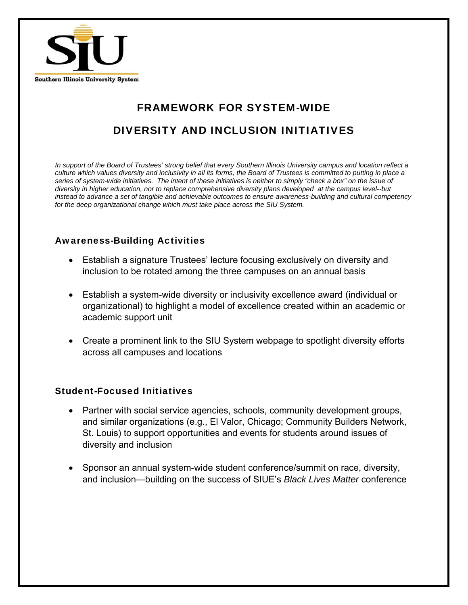

# FRAMEWORK FOR SYSTEM-WIDE DIVERSITY AND INCLUSION INITIATIVES

*In support of the Board of Trustees' strong belief that every Southern Illinois University campus and location reflect a culture which values diversity and inclusivity in all its forms, the Board of Trustees is committed to putting in place a series of system-wide initiatives. The intent of these initiatives is neither to simply "check a box" on the issue of diversity in higher education, nor to replace comprehensive diversity plans developed at the campus level--but instead to advance a set of tangible and achievable outcomes to ensure awareness-building and cultural competency for the deep organizational change which must take place across the SIU System.* 

# Awareness-Building Activities

- Establish a signature Trustees' lecture focusing exclusively on diversity and inclusion to be rotated among the three campuses on an annual basis
- Establish a system-wide diversity or inclusivity excellence award (individual or organizational) to highlight a model of excellence created within an academic or academic support unit
- Create a prominent link to the SIU System webpage to spotlight diversity efforts across all campuses and locations

# Student-Focused Initiatives

- Partner with social service agencies, schools, community development groups, and similar organizations (e.g., El Valor, Chicago; Community Builders Network, St. Louis) to support opportunities and events for students around issues of diversity and inclusion
- Sponsor an annual system-wide student conference/summit on race, diversity, and inclusion—building on the success of SIUE's *Black Lives Matter* conference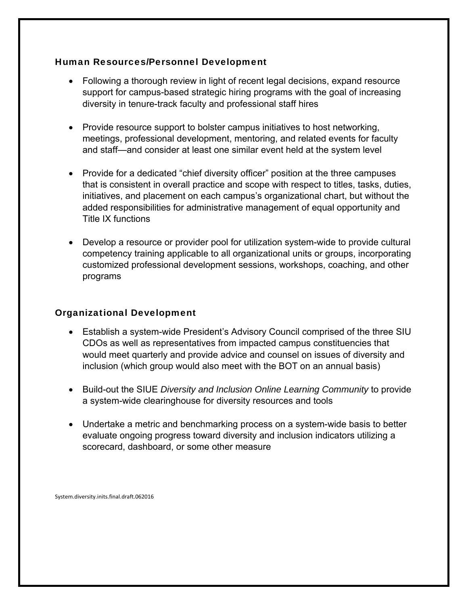# Human Resources/Personnel Development

- Following a thorough review in light of recent legal decisions, expand resource support for campus-based strategic hiring programs with the goal of increasing diversity in tenure-track faculty and professional staff hires
- Provide resource support to bolster campus initiatives to host networking, meetings, professional development, mentoring, and related events for faculty and staff—and consider at least one similar event held at the system level
- Provide for a dedicated "chief diversity officer" position at the three campuses that is consistent in overall practice and scope with respect to titles, tasks, duties, initiatives, and placement on each campus's organizational chart, but without the added responsibilities for administrative management of equal opportunity and Title IX functions
- Develop a resource or provider pool for utilization system-wide to provide cultural competency training applicable to all organizational units or groups, incorporating customized professional development sessions, workshops, coaching, and other programs

# Organizational Development

- Establish a system-wide President's Advisory Council comprised of the three SIU CDOs as well as representatives from impacted campus constituencies that would meet quarterly and provide advice and counsel on issues of diversity and inclusion (which group would also meet with the BOT on an annual basis)
- Build-out the SIUE *Diversity and Inclusion Online Learning Community* to provide a system-wide clearinghouse for diversity resources and tools
- Undertake a metric and benchmarking process on a system-wide basis to better evaluate ongoing progress toward diversity and inclusion indicators utilizing a scorecard, dashboard, or some other measure

System.diversity.inits.final.draft.062016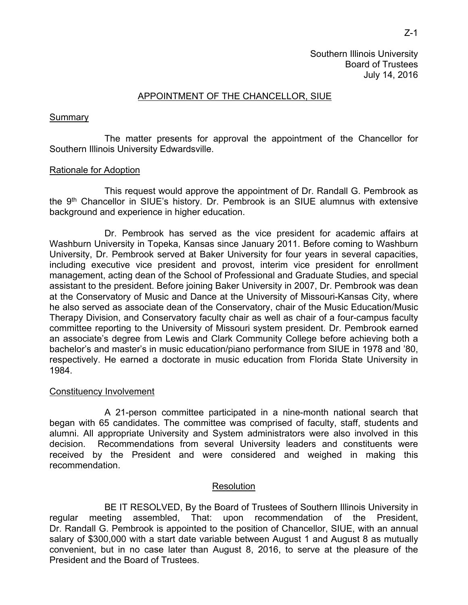## APPOINTMENT OF THE CHANCELLOR, SIUE

#### **Summary**

 The matter presents for approval the appointment of the Chancellor for Southern Illinois University Edwardsville.

#### Rationale for Adoption

 This request would approve the appointment of Dr. Randall G. Pembrook as the 9th Chancellor in SIUE's history. Dr. Pembrook is an SIUE alumnus with extensive background and experience in higher education.

 Dr. Pembrook has served as the vice president for academic affairs at Washburn University in Topeka, Kansas since January 2011. Before coming to Washburn University, Dr. Pembrook served at Baker University for four years in several capacities, including executive vice president and provost, interim vice president for enrollment management, acting dean of the School of Professional and Graduate Studies, and special assistant to the president. Before joining Baker University in 2007, Dr. Pembrook was dean at the Conservatory of Music and Dance at the University of Missouri-Kansas City, where he also served as associate dean of the Conservatory, chair of the Music Education/Music Therapy Division, and Conservatory faculty chair as well as chair of a four-campus faculty committee reporting to the University of Missouri system president. Dr. Pembrook earned an associate's degree from Lewis and Clark Community College before achieving both a bachelor's and master's in music education/piano performance from SIUE in 1978 and '80, respectively. He earned a doctorate in music education from Florida State University in 1984.

#### Constituency Involvement

 A 21-person committee participated in a nine-month national search that began with 65 candidates. The committee was comprised of faculty, staff, students and alumni. All appropriate University and System administrators were also involved in this decision. Recommendations from several University leaders and constituents were received by the President and were considered and weighed in making this recommendation.

#### **Resolution**

 BE IT RESOLVED, By the Board of Trustees of Southern Illinois University in regular meeting assembled, That: upon recommendation of the President, Dr. Randall G. Pembrook is appointed to the position of Chancellor, SIUE, with an annual salary of \$300,000 with a start date variable between August 1 and August 8 as mutually convenient, but in no case later than August 8, 2016, to serve at the pleasure of the President and the Board of Trustees.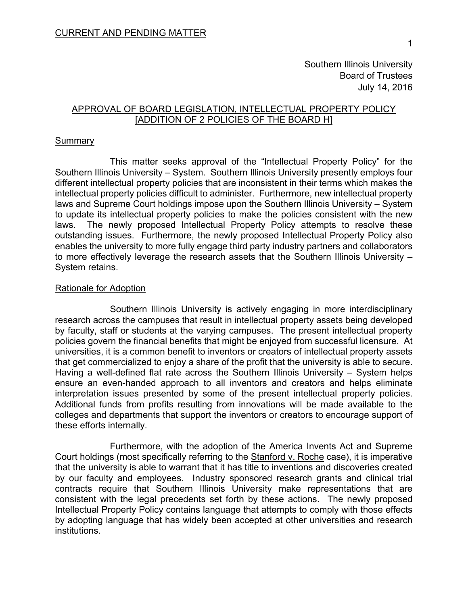# APPROVAL OF BOARD LEGISLATION, INTELLECTUAL PROPERTY POLICY [ADDITION OF 2 POLICIES OF THE BOARD H]

#### **Summary**

This matter seeks approval of the "Intellectual Property Policy" for the Southern Illinois University – System. Southern Illinois University presently employs four different intellectual property policies that are inconsistent in their terms which makes the intellectual property policies difficult to administer. Furthermore, new intellectual property laws and Supreme Court holdings impose upon the Southern Illinois University – System to update its intellectual property policies to make the policies consistent with the new laws. The newly proposed Intellectual Property Policy attempts to resolve these outstanding issues. Furthermore, the newly proposed Intellectual Property Policy also enables the university to more fully engage third party industry partners and collaborators to more effectively leverage the research assets that the Southern Illinois University – System retains.

#### Rationale for Adoption

Southern Illinois University is actively engaging in more interdisciplinary research across the campuses that result in intellectual property assets being developed by faculty, staff or students at the varying campuses. The present intellectual property policies govern the financial benefits that might be enjoyed from successful licensure. At universities, it is a common benefit to inventors or creators of intellectual property assets that get commercialized to enjoy a share of the profit that the university is able to secure. Having a well-defined flat rate across the Southern Illinois University – System helps ensure an even-handed approach to all inventors and creators and helps eliminate interpretation issues presented by some of the present intellectual property policies. Additional funds from profits resulting from innovations will be made available to the colleges and departments that support the inventors or creators to encourage support of these efforts internally.

Furthermore, with the adoption of the America Invents Act and Supreme Court holdings (most specifically referring to the Stanford v. Roche case), it is imperative that the university is able to warrant that it has title to inventions and discoveries created by our faculty and employees. Industry sponsored research grants and clinical trial contracts require that Southern Illinois University make representations that are consistent with the legal precedents set forth by these actions. The newly proposed Intellectual Property Policy contains language that attempts to comply with those effects by adopting language that has widely been accepted at other universities and research institutions.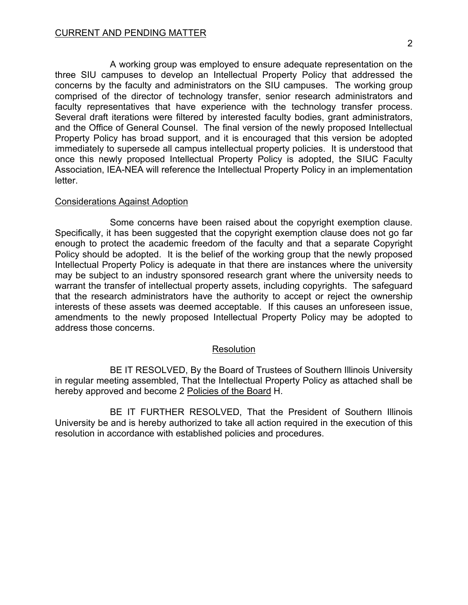A working group was employed to ensure adequate representation on the three SIU campuses to develop an Intellectual Property Policy that addressed the concerns by the faculty and administrators on the SIU campuses. The working group comprised of the director of technology transfer, senior research administrators and faculty representatives that have experience with the technology transfer process. Several draft iterations were filtered by interested faculty bodies, grant administrators, and the Office of General Counsel. The final version of the newly proposed Intellectual Property Policy has broad support, and it is encouraged that this version be adopted immediately to supersede all campus intellectual property policies. It is understood that once this newly proposed Intellectual Property Policy is adopted, the SIUC Faculty Association, IEA-NEA will reference the Intellectual Property Policy in an implementation letter.

# Considerations Against Adoption

Some concerns have been raised about the copyright exemption clause. Specifically, it has been suggested that the copyright exemption clause does not go far enough to protect the academic freedom of the faculty and that a separate Copyright Policy should be adopted. It is the belief of the working group that the newly proposed Intellectual Property Policy is adequate in that there are instances where the university may be subject to an industry sponsored research grant where the university needs to warrant the transfer of intellectual property assets, including copyrights. The safeguard that the research administrators have the authority to accept or reject the ownership interests of these assets was deemed acceptable. If this causes an unforeseen issue, amendments to the newly proposed Intellectual Property Policy may be adopted to address those concerns.

# Resolution

BE IT RESOLVED, By the Board of Trustees of Southern Illinois University in regular meeting assembled, That the Intellectual Property Policy as attached shall be hereby approved and become 2 Policies of the Board H.

BE IT FURTHER RESOLVED, That the President of Southern Illinois University be and is hereby authorized to take all action required in the execution of this resolution in accordance with established policies and procedures.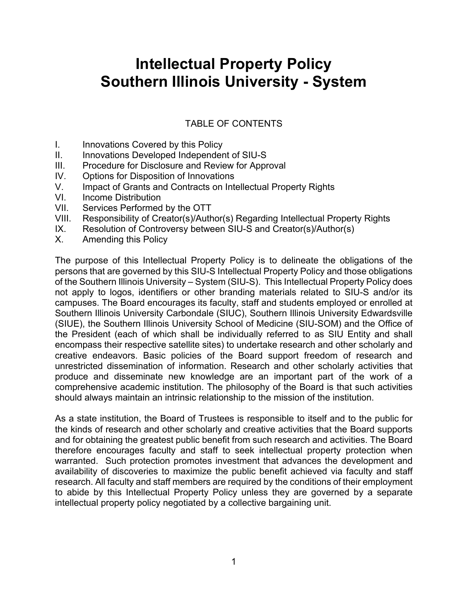# **Intellectual Property Policy Southern Illinois University - System**

# TABLE OF CONTENTS

- I. Innovations Covered by this Policy
- II. Innovations Developed Independent of SIU-S
- III. Procedure for Disclosure and Review for Approval
- IV. Options for Disposition of Innovations
- V. Impact of Grants and Contracts on Intellectual Property Rights
- VI. Income Distribution
- VII. Services Performed by the OTT
- VIII. Responsibility of Creator(s)/Author(s) Regarding Intellectual Property Rights
- IX. Resolution of Controversy between SIU-S and Creator(s)/Author(s)
- X. Amending this Policy

The purpose of this Intellectual Property Policy is to delineate the obligations of the persons that are governed by this SIU-S Intellectual Property Policy and those obligations of the Southern Illinois University – System (SIU-S). This Intellectual Property Policy does not apply to logos, identifiers or other branding materials related to SIU-S and/or its campuses. The Board encourages its faculty, staff and students employed or enrolled at Southern Illinois University Carbondale (SIUC), Southern Illinois University Edwardsville (SIUE), the Southern Illinois University School of Medicine (SIU-SOM) and the Office of the President (each of which shall be individually referred to as SIU Entity and shall encompass their respective satellite sites) to undertake research and other scholarly and creative endeavors. Basic policies of the Board support freedom of research and unrestricted dissemination of information. Research and other scholarly activities that produce and disseminate new knowledge are an important part of the work of a comprehensive academic institution. The philosophy of the Board is that such activities should always maintain an intrinsic relationship to the mission of the institution.

As a state institution, the Board of Trustees is responsible to itself and to the public for the kinds of research and other scholarly and creative activities that the Board supports and for obtaining the greatest public benefit from such research and activities. The Board therefore encourages faculty and staff to seek intellectual property protection when warranted. Such protection promotes investment that advances the development and availability of discoveries to maximize the public benefit achieved via faculty and staff research. All faculty and staff members are required by the conditions of their employment to abide by this Intellectual Property Policy unless they are governed by a separate intellectual property policy negotiated by a collective bargaining unit.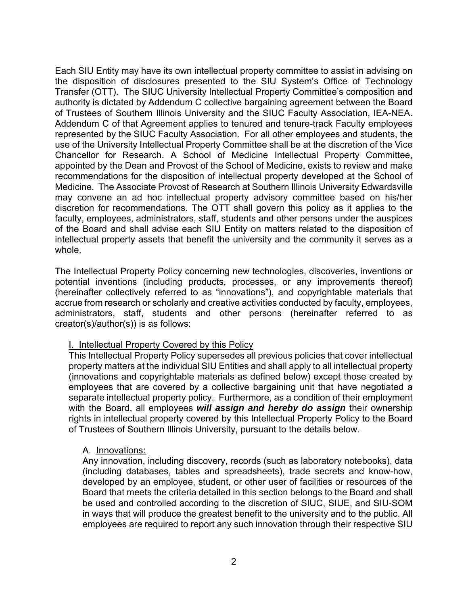Each SIU Entity may have its own intellectual property committee to assist in advising on the disposition of disclosures presented to the SIU System's Office of Technology Transfer (OTT). The SIUC University Intellectual Property Committee's composition and authority is dictated by Addendum C collective bargaining agreement between the Board of Trustees of Southern Illinois University and the SIUC Faculty Association, IEA-NEA. Addendum C of that Agreement applies to tenured and tenure-track Faculty employees represented by the SIUC Faculty Association. For all other employees and students, the use of the University Intellectual Property Committee shall be at the discretion of the Vice Chancellor for Research. A School of Medicine Intellectual Property Committee, appointed by the Dean and Provost of the School of Medicine, exists to review and make recommendations for the disposition of intellectual property developed at the School of Medicine. The Associate Provost of Research at Southern Illinois University Edwardsville may convene an ad hoc intellectual property advisory committee based on his/her discretion for recommendations. The OTT shall govern this policy as it applies to the faculty, employees, administrators, staff, students and other persons under the auspices of the Board and shall advise each SIU Entity on matters related to the disposition of intellectual property assets that benefit the university and the community it serves as a whole.

The Intellectual Property Policy concerning new technologies, discoveries, inventions or potential inventions (including products, processes, or any improvements thereof) (hereinafter collectively referred to as "innovations"), and copyrightable materials that accrue from research or scholarly and creative activities conducted by faculty, employees, administrators, staff, students and other persons (hereinafter referred to as creator(s)/author(s)) is as follows:

#### I. Intellectual Property Covered by this Policy

This Intellectual Property Policy supersedes all previous policies that cover intellectual property matters at the individual SIU Entities and shall apply to all intellectual property (innovations and copyrightable materials as defined below) except those created by employees that are covered by a collective bargaining unit that have negotiated a separate intellectual property policy. Furthermore, as a condition of their employment with the Board, all employees *will assign and hereby do assign* their ownership rights in intellectual property covered by this Intellectual Property Policy to the Board of Trustees of Southern Illinois University, pursuant to the details below.

#### A. Innovations:

Any innovation, including discovery, records (such as laboratory notebooks), data (including databases, tables and spreadsheets), trade secrets and know-how, developed by an employee, student, or other user of facilities or resources of the Board that meets the criteria detailed in this section belongs to the Board and shall be used and controlled according to the discretion of SIUC, SIUE, and SIU-SOM in ways that will produce the greatest benefit to the university and to the public. All employees are required to report any such innovation through their respective SIU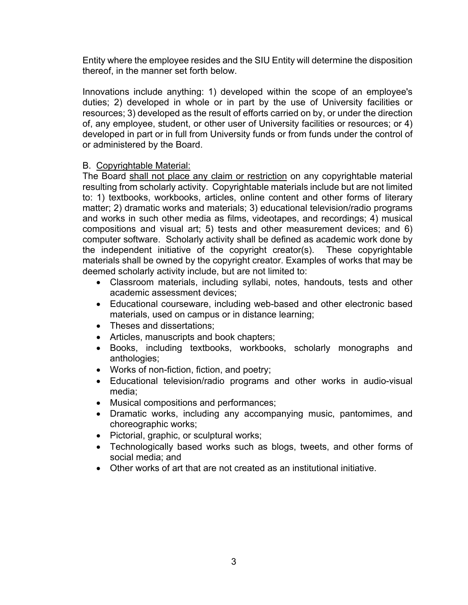Entity where the employee resides and the SIU Entity will determine the disposition thereof, in the manner set forth below.

Innovations include anything: 1) developed within the scope of an employee's duties; 2) developed in whole or in part by the use of University facilities or resources; 3) developed as the result of efforts carried on by, or under the direction of, any employee, student, or other user of University facilities or resources; or 4) developed in part or in full from University funds or from funds under the control of or administered by the Board.

## B. Copyrightable Material:

The Board shall not place any claim or restriction on any copyrightable material resulting from scholarly activity. Copyrightable materials include but are not limited to: 1) textbooks, workbooks, articles, online content and other forms of literary matter; 2) dramatic works and materials; 3) educational television/radio programs and works in such other media as films, videotapes, and recordings; 4) musical compositions and visual art; 5) tests and other measurement devices; and 6) computer software. Scholarly activity shall be defined as academic work done by the independent initiative of the copyright creator(s). These copyrightable materials shall be owned by the copyright creator. Examples of works that may be deemed scholarly activity include, but are not limited to:

- Classroom materials, including syllabi, notes, handouts, tests and other academic assessment devices;
- Educational courseware, including web-based and other electronic based materials, used on campus or in distance learning;
- Theses and dissertations:
- Articles, manuscripts and book chapters;
- Books, including textbooks, workbooks, scholarly monographs and anthologies;
- Works of non-fiction, fiction, and poetry;
- Educational television/radio programs and other works in audio-visual media;
- Musical compositions and performances;
- Dramatic works, including any accompanying music, pantomimes, and choreographic works;
- Pictorial, graphic, or sculptural works;
- Technologically based works such as blogs, tweets, and other forms of social media; and
- Other works of art that are not created as an institutional initiative.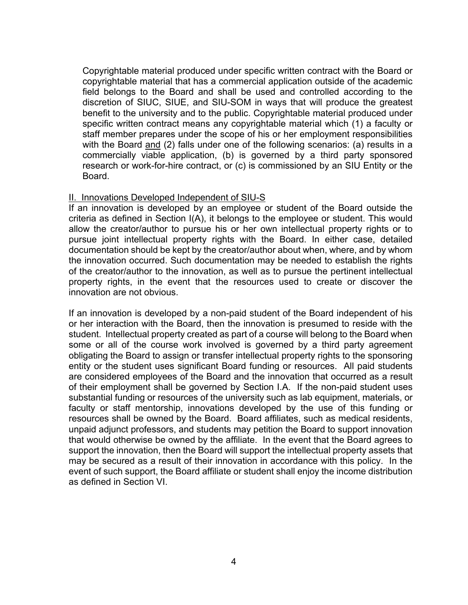Copyrightable material produced under specific written contract with the Board or copyrightable material that has a commercial application outside of the academic field belongs to the Board and shall be used and controlled according to the discretion of SIUC, SIUE, and SIU-SOM in ways that will produce the greatest benefit to the university and to the public. Copyrightable material produced under specific written contract means any copyrightable material which (1) a faculty or staff member prepares under the scope of his or her employment responsibilities with the Board and (2) falls under one of the following scenarios: (a) results in a commercially viable application, (b) is governed by a third party sponsored research or work-for-hire contract, or (c) is commissioned by an SIU Entity or the Board.

#### II. Innovations Developed Independent of SIU-S

If an innovation is developed by an employee or student of the Board outside the criteria as defined in Section I(A), it belongs to the employee or student. This would allow the creator/author to pursue his or her own intellectual property rights or to pursue joint intellectual property rights with the Board. In either case, detailed documentation should be kept by the creator/author about when, where, and by whom the innovation occurred. Such documentation may be needed to establish the rights of the creator/author to the innovation, as well as to pursue the pertinent intellectual property rights, in the event that the resources used to create or discover the innovation are not obvious.

If an innovation is developed by a non-paid student of the Board independent of his or her interaction with the Board, then the innovation is presumed to reside with the student. Intellectual property created as part of a course will belong to the Board when some or all of the course work involved is governed by a third party agreement obligating the Board to assign or transfer intellectual property rights to the sponsoring entity or the student uses significant Board funding or resources. All paid students are considered employees of the Board and the innovation that occurred as a result of their employment shall be governed by Section I.A. If the non-paid student uses substantial funding or resources of the university such as lab equipment, materials, or faculty or staff mentorship, innovations developed by the use of this funding or resources shall be owned by the Board. Board affiliates, such as medical residents, unpaid adjunct professors, and students may petition the Board to support innovation that would otherwise be owned by the affiliate. In the event that the Board agrees to support the innovation, then the Board will support the intellectual property assets that may be secured as a result of their innovation in accordance with this policy. In the event of such support, the Board affiliate or student shall enjoy the income distribution as defined in Section VI.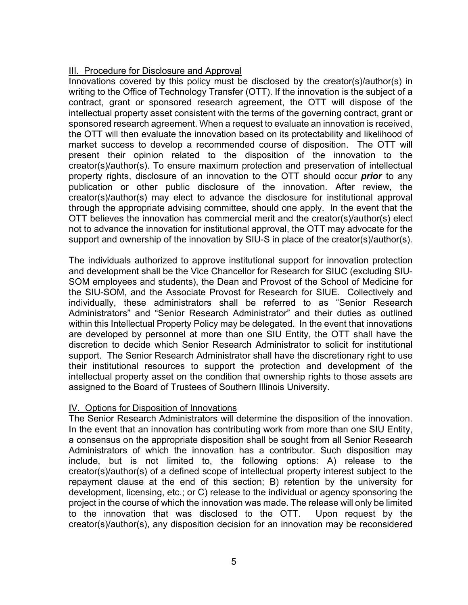## III. Procedure for Disclosure and Approval

Innovations covered by this policy must be disclosed by the creator(s)/author(s) in writing to the Office of Technology Transfer (OTT). If the innovation is the subject of a contract, grant or sponsored research agreement, the OTT will dispose of the intellectual property asset consistent with the terms of the governing contract, grant or sponsored research agreement. When a request to evaluate an innovation is received, the OTT will then evaluate the innovation based on its protectability and likelihood of market success to develop a recommended course of disposition. The OTT will present their opinion related to the disposition of the innovation to the creator(s)/author(s). To ensure maximum protection and preservation of intellectual property rights, disclosure of an innovation to the OTT should occur *prior* to any publication or other public disclosure of the innovation. After review, the creator(s)/author(s) may elect to advance the disclosure for institutional approval through the appropriate advising committee, should one apply. In the event that the OTT believes the innovation has commercial merit and the creator(s)/author(s) elect not to advance the innovation for institutional approval, the OTT may advocate for the support and ownership of the innovation by SIU-S in place of the creator(s)/author(s).

The individuals authorized to approve institutional support for innovation protection and development shall be the Vice Chancellor for Research for SIUC (excluding SIU-SOM employees and students), the Dean and Provost of the School of Medicine for the SIU-SOM, and the Associate Provost for Research for SIUE. Collectively and individually, these administrators shall be referred to as "Senior Research Administrators" and "Senior Research Administrator" and their duties as outlined within this Intellectual Property Policy may be delegated. In the event that innovations are developed by personnel at more than one SIU Entity, the OTT shall have the discretion to decide which Senior Research Administrator to solicit for institutional support. The Senior Research Administrator shall have the discretionary right to use their institutional resources to support the protection and development of the intellectual property asset on the condition that ownership rights to those assets are assigned to the Board of Trustees of Southern Illinois University.

### IV. Options for Disposition of Innovations

The Senior Research Administrators will determine the disposition of the innovation. In the event that an innovation has contributing work from more than one SIU Entity, a consensus on the appropriate disposition shall be sought from all Senior Research Administrators of which the innovation has a contributor. Such disposition may include, but is not limited to, the following options: A) release to the creator(s)/author(s) of a defined scope of intellectual property interest subject to the repayment clause at the end of this section; B) retention by the university for development, licensing, etc.; or C) release to the individual or agency sponsoring the project in the course of which the innovation was made. The release will only be limited to the innovation that was disclosed to the OTT. Upon request by the creator(s)/author(s), any disposition decision for an innovation may be reconsidered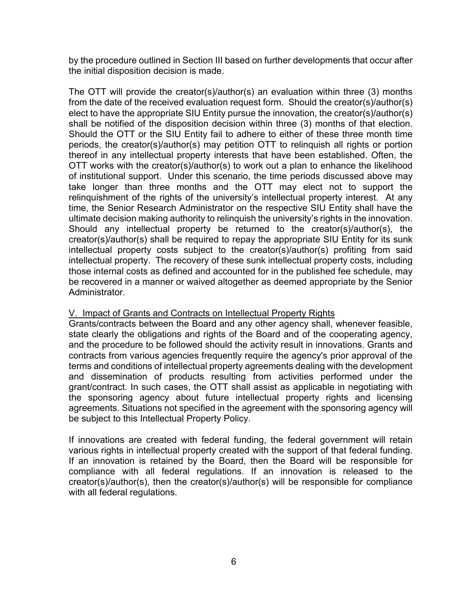by the procedure outlined in Section III based on further developments that occur after the initial disposition decision is made.

The OTT will provide the creator(s)/author(s) an evaluation within three (3) months from the date of the received evaluation request form. Should the creator(s)/author(s) elect to have the appropriate SIU Entity pursue the innovation, the creator(s)/author(s) shall be notified of the disposition decision within three (3) months of that election. Should the OTT or the SIU Entity fail to adhere to either of these three month time periods, the creator(s)/author(s) may petition OTT to relinquish all rights or portion thereof in any intellectual property interests that have been established. Often, the OTT works with the creator(s)/author(s) to work out a plan to enhance the likelihood of institutional support. Under this scenario, the time periods discussed above may take longer than three months and the OTT may elect not to support the relinquishment of the rights of the university's intellectual property interest. At any time, the Senior Research Administrator on the respective SIU Entity shall have the ultimate decision making authority to relinquish the university's rights in the innovation. Should any intellectual property be returned to the creator(s)/author(s), the creator(s)/author(s) shall be required to repay the appropriate SIU Entity for its sunk intellectual property costs subject to the creator(s)/author(s) profiting from said intellectual property. The recovery of these sunk intellectual property costs, including those internal costs as defined and accounted for in the published fee schedule, may be recovered in a manner or waived altogether as deemed appropriate by the Senior Administrator.

### V. Impact of Grants and Contracts on Intellectual Property Rights

Grants/contracts between the Board and any other agency shall, whenever feasible, state clearly the obligations and rights of the Board and of the cooperating agency, and the procedure to be followed should the activity result in innovations. Grants and contracts from various agencies frequently require the agency's prior approval of the terms and conditions of intellectual property agreements dealing with the development and dissemination of products resulting from activities performed under the grant/contract. In such cases, the OTT shall assist as applicable in negotiating with the sponsoring agency about future intellectual property rights and licensing agreements. Situations not specified in the agreement with the sponsoring agency will be subject to this Intellectual Property Policy.

If innovations are created with federal funding, the federal government will retain various rights in intellectual property created with the support of that federal funding. If an innovation is retained by the Board, then the Board will be responsible for compliance with all federal regulations. If an innovation is released to the creator(s)/author(s), then the creator(s)/author(s) will be responsible for compliance with all federal regulations.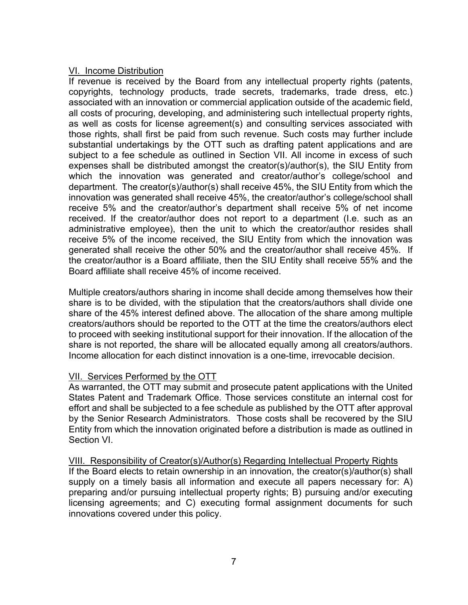#### VI. Income Distribution

If revenue is received by the Board from any intellectual property rights (patents, copyrights, technology products, trade secrets, trademarks, trade dress, etc.) associated with an innovation or commercial application outside of the academic field, all costs of procuring, developing, and administering such intellectual property rights, as well as costs for license agreement(s) and consulting services associated with those rights, shall first be paid from such revenue. Such costs may further include substantial undertakings by the OTT such as drafting patent applications and are subject to a fee schedule as outlined in Section VII. All income in excess of such expenses shall be distributed amongst the creator(s)/author(s), the SIU Entity from which the innovation was generated and creator/author's college/school and department. The creator(s)/author(s) shall receive 45%, the SIU Entity from which the innovation was generated shall receive 45%, the creator/author's college/school shall receive 5% and the creator/author's department shall receive 5% of net income received. If the creator/author does not report to a department (I.e. such as an administrative employee), then the unit to which the creator/author resides shall receive 5% of the income received, the SIU Entity from which the innovation was generated shall receive the other 50% and the creator/author shall receive 45%. If the creator/author is a Board affiliate, then the SIU Entity shall receive 55% and the Board affiliate shall receive 45% of income received.

Multiple creators/authors sharing in income shall decide among themselves how their share is to be divided, with the stipulation that the creators/authors shall divide one share of the 45% interest defined above. The allocation of the share among multiple creators/authors should be reported to the OTT at the time the creators/authors elect to proceed with seeking institutional support for their innovation. If the allocation of the share is not reported, the share will be allocated equally among all creators/authors. Income allocation for each distinct innovation is a one-time, irrevocable decision.

### VII. Services Performed by the OTT

As warranted, the OTT may submit and prosecute patent applications with the United States Patent and Trademark Office. Those services constitute an internal cost for effort and shall be subjected to a fee schedule as published by the OTT after approval by the Senior Research Administrators. Those costs shall be recovered by the SIU Entity from which the innovation originated before a distribution is made as outlined in Section VI.

VIII. Responsibility of Creator(s)/Author(s) Regarding Intellectual Property Rights If the Board elects to retain ownership in an innovation, the creator(s)/author(s) shall supply on a timely basis all information and execute all papers necessary for: A) preparing and/or pursuing intellectual property rights; B) pursuing and/or executing licensing agreements; and C) executing formal assignment documents for such innovations covered under this policy.